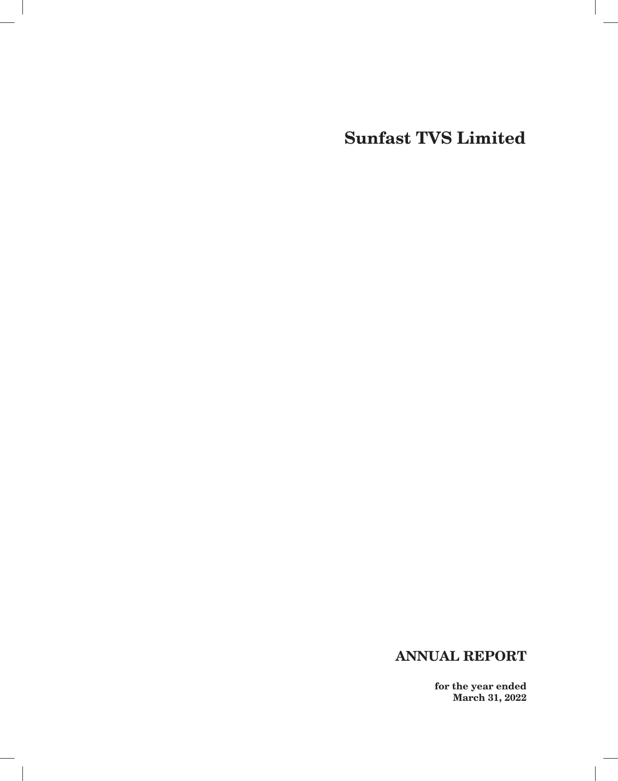# **ANNUAL REPORT**

 $\overline{\phantom{a}}$ 

**for the year ended March 31, 2022**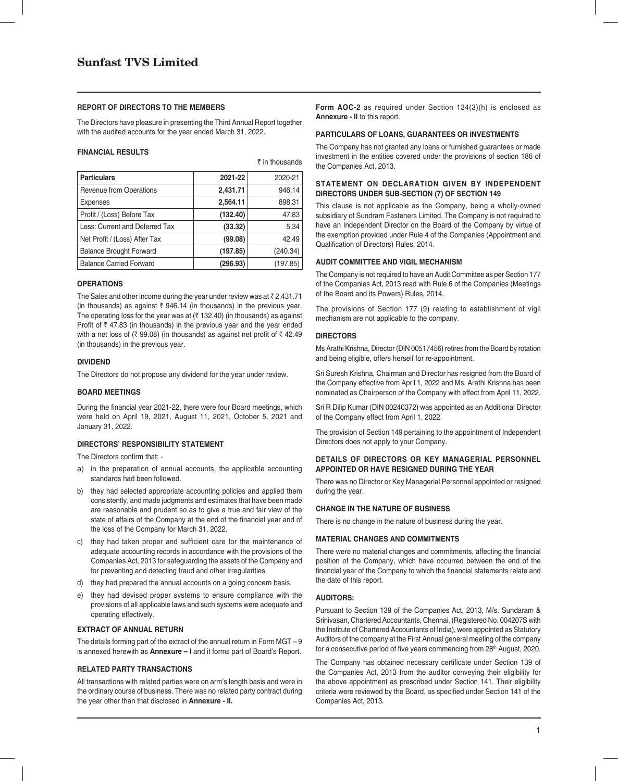#### **REPORT OF DIRECTORS TO THE MEMBERS**

The Directors have pleasure in presenting the Third Annual Report together with the audited accounts for the year ended March 31, 2022.

#### **FINANCIAL RESULTS**

| <b>Particulars</b>             | 2021-22  | 2020-21  |
|--------------------------------|----------|----------|
| Revenue from Operations        | 2,431.71 | 946.14   |
| <b>Expenses</b>                | 2,564.11 | 898.31   |
| Profit / (Loss) Before Tax     | (132.40) | 47.83    |
| Less: Current and Deferred Tax | (33.32)  | 5.34     |
| Net Profit / (Loss) After Tax  | (99.08)  | 42.49    |
| <b>Balance Brought Forward</b> | (197.85) | (240.34) |
| <b>Balance Carried Forward</b> | (296.93) | (197.85) |

#### **OPERATIONS**

The Sales and other income during the year under review was at  $\bar{z}$  2,431.71 (in thousands) as against  $\bar{\tau}$  946.14 (in thousands) in the previous year. The operating loss for the year was at  $(3.132.40)$  (in thousands) as against Profit of  $\bar{z}$  47.83 (in thousands) in the previous year and the year ended with a net loss of ( $\bar{\tau}$  99.08) (in thousands) as against net profit of  $\bar{\tau}$  42.49 (in thousands) in the previous year.

## **DIVIDEND**

The Directors do not propose any dividend for the year under review.

#### **BOARD MEETINGS**

During the financial year 2021-22, there were four Board meetings, which were held on April 19, 2021, August 11, 2021, October 5, 2021 and January 31, 2022.

## **DIRECTORS' RESPONSIBILITY STATEMENT**

The Directors confirm that: -

- a) in the preparation of annual accounts, the applicable accounting standards had been followed.
- b) they had selected appropriate accounting policies and applied them consistently, and made judgments and estimates that have been made are reasonable and prudent so as to give a true and fair view of the state of affairs of the Company at the end of the financial year and of the loss of the Company for March 31, 2022.
- c) they had taken proper and sufficient care for the maintenance of adequate accounting records in accordance with the provisions of the Companies Act, 2013 for safeguarding the assets of the Company and for preventing and detecting fraud and other irregularities.
- d) they had prepared the annual accounts on a going concern basis.
- e) they had devised proper systems to ensure compliance with the provisions of all applicable laws and such systems were adequate and operating effectively.

#### **EXTRACT OF ANNUAL RETURN**

The details forming part of the extract of the annual return in Form MGT – 9 is annexed herewith as **Annexure – I** and it forms part of Board's Report.

#### **RELATED PARTY TRANSACTIONS**

All transactions with related parties were on arm's length basis and were in the ordinary course of business. There was no related party contract during the year other than that disclosed in **Annexure - II.**

**Form AOC-2** as required under Section 134(3)(h) is enclosed as **Annexure - II** to this report.

#### **PARTICULARS OF LOANS, GUARANTEES OR INVESTMENTS**

The Company has not granted any loans or furnished guarantees or made investment in the entities covered under the provisions of section 186 of the Companies Act, 2013.

## **STATEMENT ON DECLARATION GIVEN BY INDEPENDENT DIRECTORS UNDER SUB-SECTION (7) OF SECTION 149**

This clause is not applicable as the Company, being a wholly-owned subsidiary of Sundram Fasteners Limited. The Company is not required to have an Independent Director on the Board of the Company by virtue of the exemption provided under Rule 4 of the Companies (Appointment and Qualification of Directors) Rules, 2014.

#### **AUDIT COMMITTEE AND VIGIL MECHANISM**

The Company is not required to have an Audit Committee as per Section 177 of the Companies Act, 2013 read with Rule 6 of the Companies (Meetings of the Board and its Powers) Rules, 2014.

The provisions of Section 177 (9) relating to establishment of vigil mechanism are not applicable to the company.

#### **DIRECTORS**

₹ in thousands

Ms Arathi Krishna, Director (DIN 00517456) retires from the Board by rotation and being eligible, offers herself for re-appointment.

Sri Suresh Krishna, Chairman and Director has resigned from the Board of the Company effective from April 1, 2022 and Ms. Arathi Krishna has been nominated as Chairperson of the Company with effect from April 11, 2022.

Sri R Dilip Kumar (DIN 00240372) was appointed as an Additional Director of the Company effect from April 1, 2022.

The provision of Section 149 pertaining to the appointment of Independent Directors does not apply to your Company.

#### **DETAILS OF DIRECTORS OR KEY MANAGERIAL PERSONNEL APPOINTED OR HAVE RESIGNED DURING THE YEAR**

There was no Director or Key Managerial Personnel appointed or resigned during the year.

#### **CHANGE IN THE NATURE OF BUSINESS**

There is no change in the nature of business during the year.

#### **MATERIAL CHANGES AND COMMITMENTS**

There were no material changes and commitments, affecting the financial position of the Company, which have occurred between the end of the financial year of the Company to which the financial statements relate and the date of this report.

#### **AUDITORS:**

Pursuant to Section 139 of the Companies Act, 2013, M/s. Sundaram & Srinivasan, Chartered Accountants, Chennai, (Registered No. 004207S with the Institute of Chartered Accountants of India), were appointed as Statutory Auditors of the company at the First Annual general meeting of the company for a consecutive period of five years commencing from 28<sup>th</sup> August, 2020.

The Company has obtained necessary certificate under Section 139 of the Companies Act, 2013 from the auditor conveying their eligibility for the above appointment as prescribed under Section 141. Their eligibility criteria were reviewed by the Board, as specified under Section 141 of the Companies Act, 2013.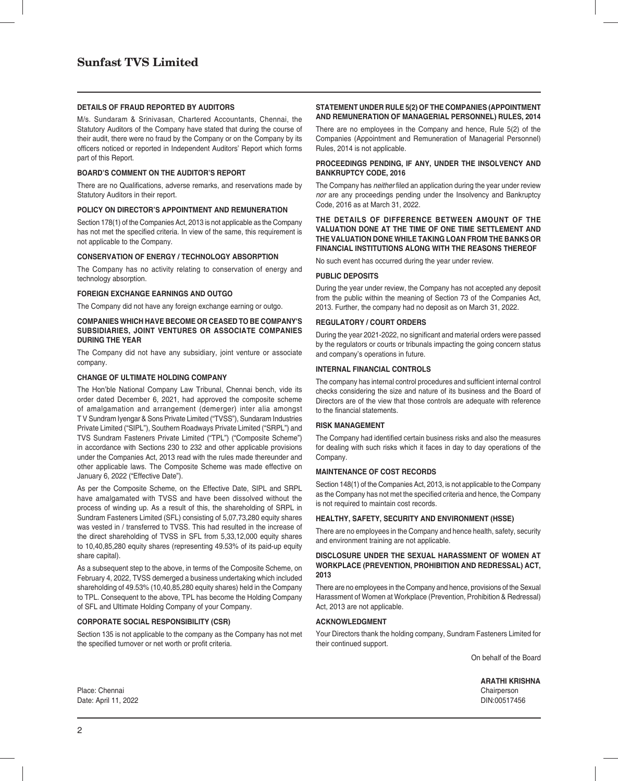## **DETAILS OF FRAUD REPORTED BY AUDITORS**

M/s. Sundaram & Srinivasan, Chartered Accountants, Chennai, the Statutory Auditors of the Company have stated that during the course of their audit, there were no fraud by the Company or on the Company by its officers noticed or reported in Independent Auditors' Report which forms part of this Report.

#### **BOARD'S COMMENT ON THE AUDITOR'S REPORT**

There are no Qualifications, adverse remarks, and reservations made by Statutory Auditors in their report.

#### **POLICY ON DIRECTOR'S APPOINTMENT AND REMUNERATION**

Section 178(1) of the Companies Act, 2013 is not applicable as the Company has not met the specified criteria. In view of the same, this requirement is not applicable to the Company.

#### **CONSERVATION OF ENERGY / TECHNOLOGY ABSORPTION**

The Company has no activity relating to conservation of energy and technology absorption.

#### **FOREIGN EXCHANGE EARNINGS AND OUTGO**

The Company did not have any foreign exchange earning or outgo.

#### **COMPANIES WHICH HAVE BECOME OR CEASED TO BE COMPANY'S SUBSIDIARIES, JOINT VENTURES OR ASSOCIATE COMPANIES DURING THE YEAR**

The Company did not have any subsidiary, joint venture or associate company.

## **CHANGE OF ULTIMATE HOLDING COMPANY**

The Hon'ble National Company Law Tribunal, Chennai bench, vide its order dated December 6, 2021, had approved the composite scheme of amalgamation and arrangement (demerger) inter alia amongst T V Sundram Iyengar & Sons Private Limited ("TVSS"), Sundaram Industries Private Limited ("SIPL"), Southern Roadways Private Limited ("SRPL") and TVS Sundram Fasteners Private Limited ("TPL") ("Composite Scheme") in accordance with Sections 230 to 232 and other applicable provisions under the Companies Act, 2013 read with the rules made thereunder and other applicable laws. The Composite Scheme was made effective on January 6, 2022 ("Effective Date").

As per the Composite Scheme, on the Effective Date, SIPL and SRPL have amalgamated with TVSS and have been dissolved without the process of winding up. As a result of this, the shareholding of SRPL in Sundram Fasteners Limited (SFL) consisting of 5,07,73,280 equity shares was vested in / transferred to TVSS. This had resulted in the increase of the direct shareholding of TVSS in SFL from 5,33,12,000 equity shares to 10,40,85,280 equity shares (representing 49.53% of its paid-up equity share capital).

As a subsequent step to the above, in terms of the Composite Scheme, on February 4, 2022, TVSS demerged a business undertaking which included shareholding of 49.53% (10,40,85,280 equity shares) held in the Company to TPL. Consequent to the above, TPL has become the Holding Company of SFL and Ultimate Holding Company of your Company.

#### **CORPORATE SOCIAL RESPONSIBILITY (CSR)**

Section 135 is not applicable to the company as the Company has not met the specified turnover or net worth or profit criteria.

## **STATEMENT UNDER RULE 5(2) OF THE COMPANIES (APPOINTMENT AND REMUNERATION OF MANAGERIAL PERSONNEL) RULES, 2014**

There are no employees in the Company and hence, Rule 5(2) of the Companies (Appointment and Remuneration of Managerial Personnel) Rules, 2014 is not applicable.

#### **PROCEEDINGS PENDING, IF ANY, UNDER THE INSOLVENCY AND BANKRUPTCY CODE, 2016**

The Company has *neither* filed an application during the year under review *nor* are any proceedings pending under the Insolvency and Bankruptcy Code, 2016 as at March 31, 2022.

**THE DETAILS OF DIFFERENCE BETWEEN AMOUNT OF THE VALUATION DONE AT THE TIME OF ONE TIME SETTLEMENT AND THE VALUATION DONE WHILE TAKING LOAN FROM THE BANKS OR FINANCIAL INSTITUTIONS ALONG WITH THE REASONS THEREOF**

No such event has occurred during the year under review.

## **PUBLIC DEPOSITS**

During the year under review, the Company has not accepted any deposit from the public within the meaning of Section 73 of the Companies Act, 2013. Further, the company had no deposit as on March 31, 2022.

## **REGULATORY / COURT ORDERS**

During the year 2021-2022, no significant and material orders were passed by the regulators or courts or tribunals impacting the going concern status and company's operations in future.

## **INTERNAL FINANCIAL CONTROLS**

The company has internal control procedures and sufficient internal control checks considering the size and nature of its business and the Board of Directors are of the view that those controls are adequate with reference to the financial statements.

## **RISK MANAGEMENT**

The Company had identified certain business risks and also the measures for dealing with such risks which it faces in day to day operations of the Company.

## **MAINTENANCE OF COST RECORDS**

Section 148(1) of the Companies Act, 2013, is not applicable to the Company as the Company has not met the specified criteria and hence, the Company is not required to maintain cost records.

## **HEALTHY, SAFETY, SECURITY AND ENVIRONMENT (HSSE)**

There are no employees in the Company and hence health, safety, security and environment training are not applicable.

## **DISC LOSURE UNDER THE SEXUAL HARASSMENT OF WOMEN AT WORKPLACE (PREVENTION, PROHIBITION AND REDRESSAL) ACT, 2013**

There are no employees in the Company and hence, provisions of the Sexual Harassment of Women at Workplace (Prevention, Prohibition & Redressal) Act, 2013 are not applicable.

#### **ACKNOWLEDGMENT**

Your Directors thank the holding company, Sundram Fasteners Limited for their continued support.

On behalf of the Board

**ARATHI KRISHNA**

Place: Chennai Chairperson Chairperson Chairperson Chairperson Chairperson Chairperson Date: April 11, 2022 DIN:00517456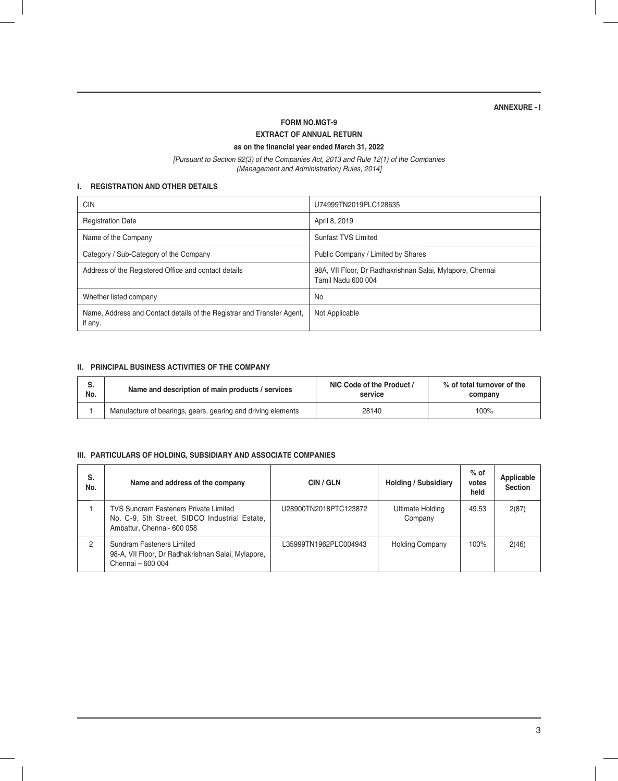**ANNEXURE - I**

## **FORM NO.MGT-9**

## **EXTRACT OF ANNUAL RETURN**

as on the financial year ended March 31, 2022

*[Pursuant to Section 92(3) of the Companies Act, 2013 and Rule 12(1) of the Companies (Management and Administration) Rules, 2014]*

## **I. REGISTRATION AND OTHER DETAILS**

| <b>CIN</b>                                                                        | U74999TN2019PLC128635                                                           |
|-----------------------------------------------------------------------------------|---------------------------------------------------------------------------------|
| <b>Registration Date</b>                                                          | April 8, 2019                                                                   |
| Name of the Company                                                               | Sunfast TVS Limited                                                             |
| Category / Sub-Category of the Company                                            | Public Company / Limited by Shares                                              |
| Address of the Registered Office and contact details                              | 98A, VII Floor, Dr Radhakrishnan Salai, Mylapore, Chennai<br>Tamil Nadu 600 004 |
| Whether listed company                                                            | No                                                                              |
| Name, Address and Contact details of the Registrar and Transfer Agent,<br>if any. | Not Applicable                                                                  |

## **II. PRINCIPAL BUSINESS ACTIVITIES OF THE COMPANY**

| o.  | Name and description of main products / services             | NIC Code of the Product / | % of total turnover of the |
|-----|--------------------------------------------------------------|---------------------------|----------------------------|
| No. |                                                              | service                   | company                    |
|     | Manufacture of bearings, gears, gearing and driving elements | 28140                     | 100%                       |

## **III. PARTICULARS OF HOLDING, SUBSIDIARY AND ASSOCIATE COMPANIES**

| S.<br>No. | Name and address of the company                                                                                             | CIN/GLN               | <b>Holding / Subsidiary</b> | % of<br>votes<br>held | Applicable<br><b>Section</b> |
|-----------|-----------------------------------------------------------------------------------------------------------------------------|-----------------------|-----------------------------|-----------------------|------------------------------|
|           | <b>TVS Sundram Fasteners Private Limited</b><br>No. C-9, 5th Street, SIDCO Industrial Estate,<br>Ambattur, Chennai- 600 058 | U28900TN2018PTC123872 | Ultimate Holding<br>Company | 49.53                 | 2(87)                        |
| 2         | Sundram Fasteners Limited<br>98-A, VII Floor, Dr Radhakrishnan Salai, Mylapore,<br>Chennai - 600 004                        | L35999TN1962PLC004943 | <b>Holding Company</b>      | 100%                  | 2(46)                        |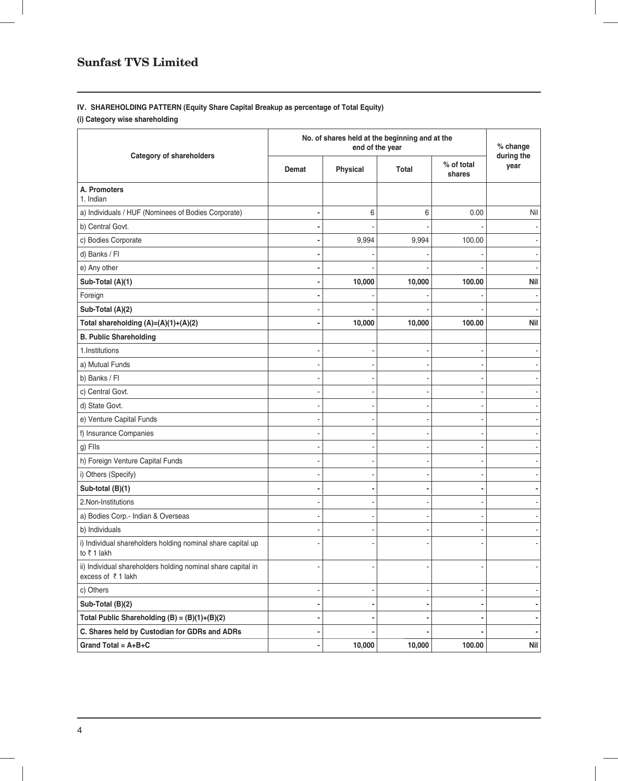## **IV. SHAREHOLDING PATTERN (Equity Share Capital Breakup as percentage of Total Equity)**

**(i) Category wise shareholding**

|                                                                                   | No. of shares held at the beginning and at the | % change |        |                      |                    |
|-----------------------------------------------------------------------------------|------------------------------------------------|----------|--------|----------------------|--------------------|
| <b>Category of shareholders</b>                                                   | Demat                                          | Physical | Total  | % of total<br>shares | during the<br>year |
| A. Promoters<br>1. Indian                                                         |                                                |          |        |                      |                    |
| a) Individuals / HUF (Nominees of Bodies Corporate)                               |                                                | 6        | 6      | 0.00                 | Nil                |
| b) Central Govt.                                                                  |                                                |          |        |                      |                    |
| c) Bodies Corporate                                                               |                                                | 9,994    | 9,994  | 100.00               |                    |
| d) Banks / Fl                                                                     |                                                |          |        |                      |                    |
| e) Any other                                                                      |                                                |          |        |                      |                    |
| Sub-Total (A)(1)                                                                  |                                                | 10,000   | 10,000 | 100.00               | Nil                |
| Foreign                                                                           |                                                |          |        |                      |                    |
| Sub-Total (A)(2)                                                                  |                                                |          |        |                      |                    |
| Total shareholding (A)=(A)(1)+(A)(2)                                              |                                                | 10,000   | 10,000 | 100.00               | Nil                |
| <b>B. Public Shareholding</b>                                                     |                                                |          |        |                      |                    |
| 1. Institutions                                                                   |                                                |          |        |                      |                    |
| a) Mutual Funds                                                                   |                                                |          |        |                      |                    |
| b) Banks / Fl                                                                     |                                                |          |        |                      |                    |
| c) Central Govt.                                                                  |                                                |          |        |                      |                    |
| d) State Govt.                                                                    |                                                |          |        |                      |                    |
| e) Venture Capital Funds                                                          |                                                |          |        |                      |                    |
| f) Insurance Companies                                                            |                                                |          |        |                      |                    |
| g) Flls                                                                           |                                                |          |        |                      |                    |
| h) Foreign Venture Capital Funds                                                  |                                                |          |        |                      |                    |
| i) Others (Specify)                                                               |                                                |          |        |                      |                    |
| Sub-total (B)(1)                                                                  |                                                |          |        |                      | $\blacksquare$     |
| 2.Non-Institutions                                                                |                                                |          |        |                      |                    |
| a) Bodies Corp.- Indian & Overseas                                                |                                                |          |        |                      |                    |
| b) Individuals                                                                    |                                                |          |        |                      |                    |
| i) Individual shareholders holding nominal share capital up<br>to ₹ 1 lakh        |                                                |          |        |                      |                    |
| ii) Individual shareholders holding nominal share capital in<br>excess of ₹1 lakh |                                                |          |        |                      | $\blacksquare$     |
| c) Others                                                                         |                                                |          |        |                      |                    |
| Sub-Total (B)(2)                                                                  |                                                |          |        |                      | ٠                  |
| Total Public Shareholding $(B) = (B)(1)+(B)(2)$                                   |                                                |          |        |                      | ٠                  |
| C. Shares held by Custodian for GDRs and ADRs                                     |                                                |          |        |                      |                    |
| Grand Total = $A + B + C$                                                         |                                                | 10,000   | 10,000 | 100.00               | Nil                |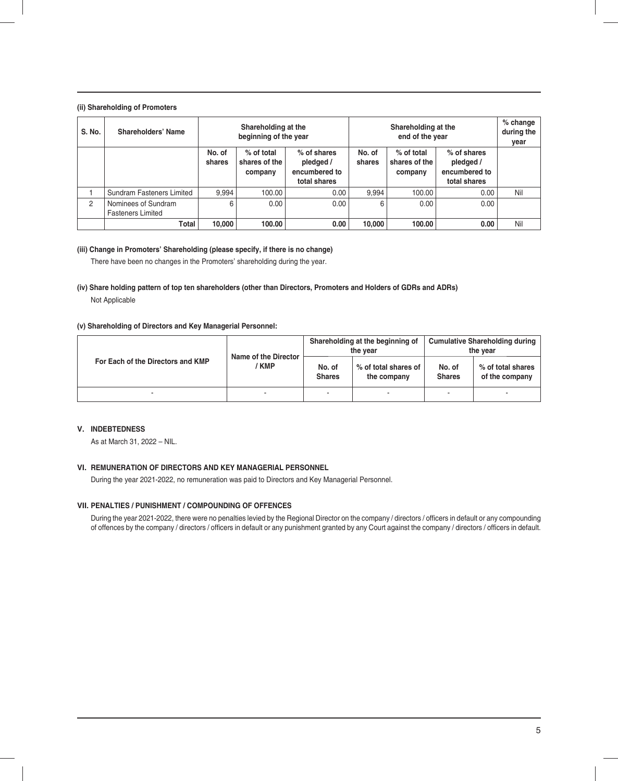## **(ii) Shareholding of Promoters**

| S. No. | Shareholders' Name                              | Shareholding at the<br>beginning of the year |                                          |                                                           |                  | Shareholding at the<br>end of the year |                                                           |     |  |
|--------|-------------------------------------------------|----------------------------------------------|------------------------------------------|-----------------------------------------------------------|------------------|----------------------------------------|-----------------------------------------------------------|-----|--|
|        |                                                 | No. of<br>shares                             | $%$ of total<br>shares of the<br>company | % of shares<br>pledged /<br>encumbered to<br>total shares | No. of<br>shares | % of total<br>shares of the<br>company | % of shares<br>pledged /<br>encumbered to<br>total shares |     |  |
|        | <b>Sundram Fasteners Limited</b>                | 9.994                                        | 100.00                                   | 0.00                                                      | 9.994            | 100.00                                 | 0.00                                                      | Nil |  |
| 2      | Nominees of Sundram<br><b>Fasteners Limited</b> | 6                                            | 0.00                                     | 0.00                                                      | 6                | 0.00                                   | 0.00                                                      |     |  |
|        | Total                                           | 10,000                                       | 100.00                                   | 0.00                                                      | 10.000           | 100.00                                 | 0.00                                                      | Nil |  |

## **(iii) Change in Promoters' Shareholding (please specify, if there is no change)**

There have been no changes in the Promoters' shareholding during the year.

## **(iv) Share holding pattern of top ten shareholders (other than Directors, Promoters and Holders of GDRs and ADRs)** Not Applicable

## **(v) Shareholding of Directors and Key Managerial Personnel:**

|                                   |                               |                         | Shareholding at the beginning of<br>the year |                         | <b>Cumulative Shareholding during</b><br>the year |
|-----------------------------------|-------------------------------|-------------------------|----------------------------------------------|-------------------------|---------------------------------------------------|
| For Each of the Directors and KMP | Name of the Director<br>/ KMP | No. of<br><b>Shares</b> | % of total shares of<br>the company          | No. of<br><b>Shares</b> | % of total shares<br>of the company               |
|                                   | ۰                             |                         |                                              |                         |                                                   |

## **V. INDEBTEDNESS**

As at March 31, 2022 – NIL.

## **VI. REMUNERATION OF DIRECTORS AND KEY MANAGERIAL PERSONNEL**

During the year 2021-2022, no remuneration was paid to Directors and Key Managerial Personnel.

## **VII. PENALTIES / PUNISHMENT / COMPOUNDING OF OFFENCES**

During the year 2021-2022, there were no penalties levied by the Regional Director on the company / directors / officers in default or any compounding of offences by the company / directors / officers in default or any punishment granted by any Court against the company / directors / officers in default.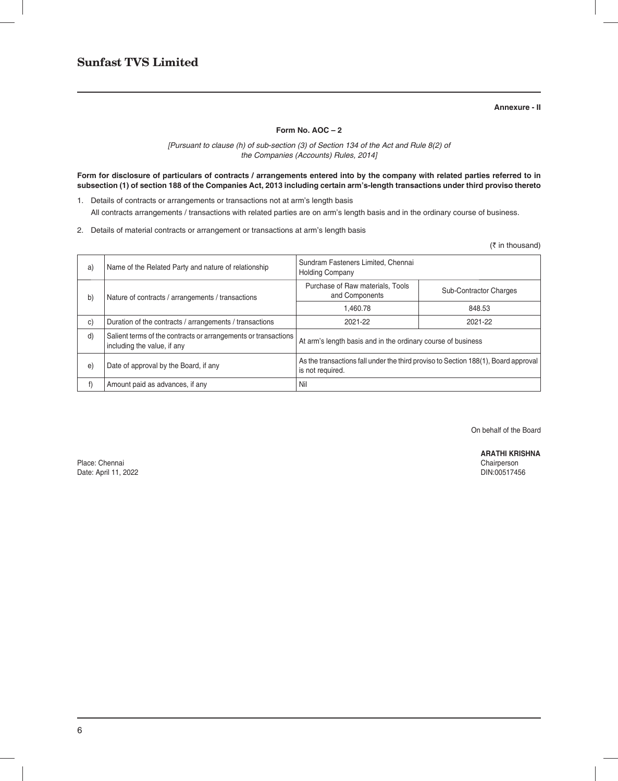**Annexure - II**

## **Form No. AOC – 2**

## *[Pursuant to clause (h) of sub-section (3) of Section 134 of the Act and Rule 8(2) of the Companies (Accounts) Rules, 2014]*

**Form for disclosure of particulars of contracts / arrangements entered into by the company with related parties referred to in subsection (1) of section 188 of the Companies Act, 2013 including certain arm's-length transactions under third proviso thereto**

- 1. Details of contracts or arrangements or transactions not at arm's length basis All contracts arrangements / transactions with related parties are on arm's length basis and in the ordinary course of business.
- 2. Details of material contracts or arrangement or transactions at arm's length basis

 $($ ₹ in thousand)

| a) | Name of the Related Party and nature of relationship                                          | Sundram Fasteners Limited, Chennai<br><b>Holding Company</b>                                           |                               |  |  |  |
|----|-----------------------------------------------------------------------------------------------|--------------------------------------------------------------------------------------------------------|-------------------------------|--|--|--|
| b) | Nature of contracts / arrangements / transactions                                             | Purchase of Raw materials, Tools<br>and Components                                                     | <b>Sub-Contractor Charges</b> |  |  |  |
|    |                                                                                               | 1.460.78                                                                                               | 848.53                        |  |  |  |
| c) | Duration of the contracts / arrangements / transactions                                       | 2021-22                                                                                                | 2021-22                       |  |  |  |
| d) | Salient terms of the contracts or arrangements or transactions<br>including the value, if any | At arm's length basis and in the ordinary course of business                                           |                               |  |  |  |
| e) | Date of approval by the Board, if any                                                         | As the transactions fall under the third proviso to Section 188(1), Board approval<br>is not required. |                               |  |  |  |
|    | Amount paid as advances, if any                                                               | Nil                                                                                                    |                               |  |  |  |

On behalf of the Board

Place: Chennai Chairperson Chairperson and Chairperson Chairperson Chairperson Chairperson Date: April 11, 2022 DIN:00517456

**ARATHI KRISHNA**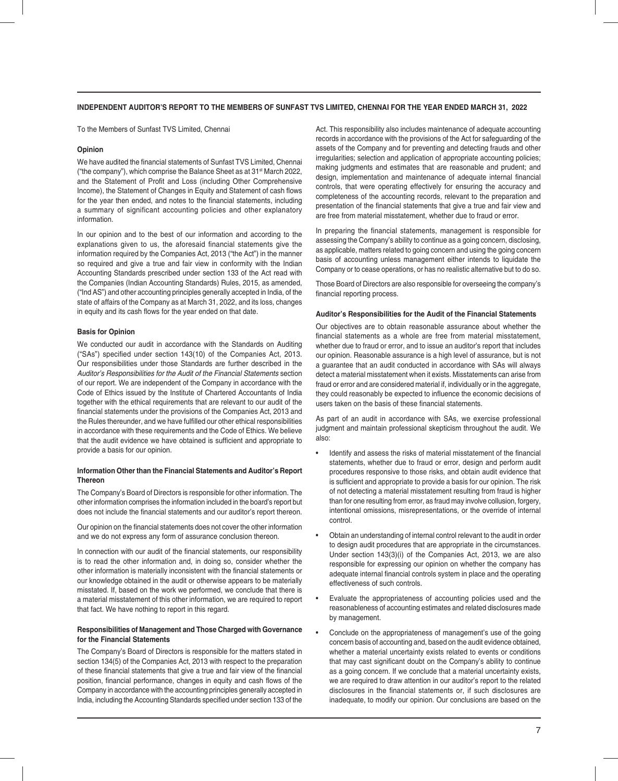#### **INDEPENDENT AUDITOR'S REPORT TO THE MEMBERS OF SUNFAST TVS LIMITED, CHENNAI FOR THE YEAR ENDED MARCH 31, 2022**

To the Members of Sunfast TVS Limited, Chennai

#### **Opinion**

We have audited the financial statements of Sunfast TVS Limited, Chennai ("the company"), which comprise the Balance Sheet as at 31<sup>st</sup> March 2022, and the Statement of Profit and Loss (including Other Comprehensive Income), the Statement of Changes in Equity and Statement of cash flows for the year then ended, and notes to the financial statements, including a summary of significant accounting policies and other explanatory information.

In our opinion and to the best of our information and according to the explanations given to us, the aforesaid financial statements give the information required by the Companies Act, 2013 ("the Act") in the manner so required and give a true and fair view in conformity with the Indian Accounting Standards prescribed under section 133 of the Act read with the Companies (Indian Accounting Standards) Rules, 2015, as amended, ("Ind AS") and other accounting principles generally accepted in India, of the state of affairs of the Company as at March 31, 2022, and its loss, changes in equity and its cash flows for the year ended on that date.

#### **Basis for Opinion**

We conducted our audit in accordance with the Standards on Auditing ("SAs") specified under section  $143(10)$  of the Companies Act, 2013. Our responsibilities under those Standards are further described in the *Auditor's Responsibilities for the Audit of the Financial Statements* section of our report. We are independent of the Company in accordance with the Code of Ethics issued by the Institute of Chartered Accountants of India together with the ethical requirements that are relevant to our audit of the financial statements under the provisions of the Companies Act, 2013 and the Rules thereunder, and we have fulfilled our other ethical responsibilities in accordance with these requirements and the Code of Ethics. We believe that the audit evidence we have obtained is sufficient and appropriate to provide a basis for our opinion.

#### **Information Other than the Financial Statements and Auditor's Report Thereon**

The Company's Board of Directors is responsible for other information. The other information comprises the information included in the board's report but does not include the financial statements and our auditor's report thereon.

Our opinion on the financial statements does not cover the other information and we do not express any form of assurance conclusion thereon.

In connection with our audit of the financial statements, our responsibility is to read the other information and, in doing so, consider whether the other information is materially inconsistent with the financial statements or our knowledge obtained in the audit or otherwise appears to be materially misstated. If, based on the work we performed, we conclude that there is a material misstatement of this other information, we are required to report that fact. We have nothing to report in this regard.

#### **Responsibilities of Management and Those Charged with Governance for the Financial Statements**

The Company's Board of Directors is responsible for the matters stated in section 134(5) of the Companies Act, 2013 with respect to the preparation of these financial statements that give a true and fair view of the financial position, financial performance, changes in equity and cash flows of the Company in accordance with the accounting principles generally accepted in India, including the Accounting Standards specified under section 133 of the

Act. This responsibility also includes maintenance of adequate accounting records in accordance with the provisions of the Act for safeguarding of the assets of the Company and for preventing and detecting frauds and other irregularities; selection and application of appropriate accounting policies; making judgments and estimates that are reasonable and prudent; and design, implementation and maintenance of adequate internal financial controls, that were operating effectively for ensuring the accuracy and completeness of the accounting records, relevant to the preparation and presentation of the financial statements that give a true and fair view and are free from material misstatement, whether due to fraud or error.

In preparing the financial statements, management is responsible for assessing the Company's ability to continue as a going concern, disclosing, as applicable, matters related to going concern and using the going concern basis of accounting unless management either intends to liquidate the Company or to cease operations, or has no realistic alternative but to do so.

Those Board of Directors are also responsible for overseeing the company's financial reporting process.

#### **Auditor's Responsibilities for the Audit of the Financial Statements**

Our objectives are to obtain reasonable assurance about whether the financial statements as a whole are free from material misstatement, whether due to fraud or error, and to issue an auditor's report that includes our opinion. Reasonable assurance is a high level of assurance, but is not a guarantee that an audit conducted in accordance with SAs will always detect a material misstatement when it exists. Misstatements can arise from fraud or error and are considered material if, individually or in the aggregate, they could reasonably be expected to influence the economic decisions of users taken on the basis of these financial statements.

As part of an audit in accordance with SAs, we exercise professional judgment and maintain professional skepticism throughout the audit. We also:

- Identify and assess the risks of material misstatement of the financial statements, whether due to fraud or error, design and perform audit procedures responsive to those risks, and obtain audit evidence that is sufficient and appropriate to provide a basis for our opinion. The risk of not detecting a material misstatement resulting from fraud is higher than for one resulting from error, as fraud may involve collusion, forgery, intentional omissions, misrepresentations, or the override of internal control.
- Obtain an understanding of internal control relevant to the audit in order to design audit procedures that are appropriate in the circumstances. Under section 143(3)(i) of the Companies Act, 2013, we are also responsible for expressing our opinion on whether the company has adequate internal financial controls system in place and the operating effectiveness of such controls.
- Evaluate the appropriateness of accounting policies used and the reasonableness of accounting estimates and related disclosures made by management.
- Conclude on the appropriateness of management's use of the going concern basis of accounting and, based on the audit evidence obtained, whether a material uncertainty exists related to events or conditions that may cast significant doubt on the Company's ability to continue as a going concern. If we conclude that a material uncertainty exists, we are required to draw attention in our auditor's report to the related disclosures in the financial statements or, if such disclosures are inadequate, to modify our opinion. Our conclusions are based on the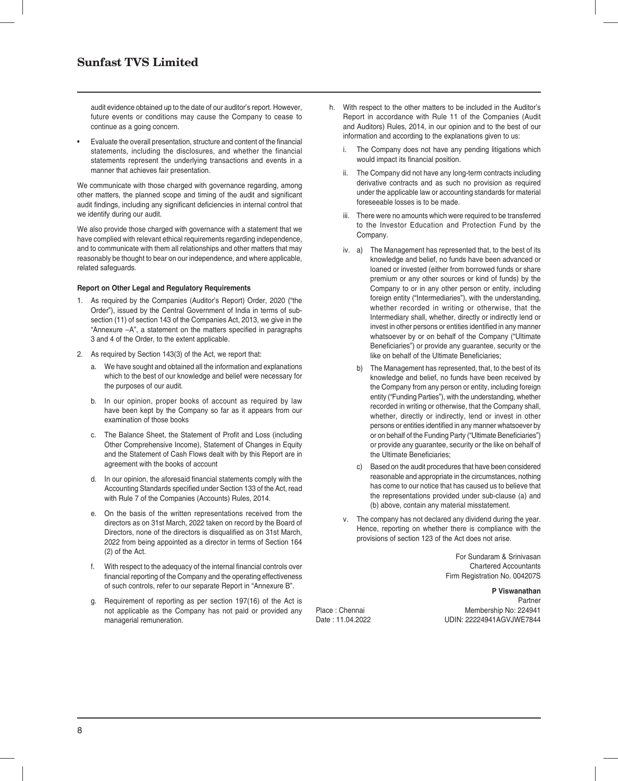audit evidence obtained up to the date of our auditor's report. However, future events or conditions may cause the Company to cease to continue as a going concern.

Evaluate the overall presentation, structure and content of the financial statements, including the disclosures, and whether the financial statements represent the underlying transactions and events in a manner that achieves fair presentation.

We communicate with those charged with governance regarding, among other matters, the planned scope and timing of the audit and significant audit findings, including any significant deficiencies in internal control that we identify during our audit.

We also provide those charged with governance with a statement that we have complied with relevant ethical requirements regarding independence, and to communicate with them all relationships and other matters that may reasonably be thought to bear on our independence, and where applicable, related safeguards.

#### **Report on Other Legal and Regulatory Requirements**

- 1. As required by the Companies (Auditor's Report) Order, 2020 ("the Order"), issued by the Central Government of India in terms of subsection (11) of section 143 of the Companies Act, 2013, we give in the "Annexure  $-A$ ", a statement on the matters specified in paragraphs 3 and 4 of the Order, to the extent applicable.
- 2. As required by Section 143(3) of the Act, we report that:
	- a. We have sought and obtained all the information and explanations which to the best of our knowledge and belief were necessary for the purposes of our audit.
	- In our opinion, proper books of account as required by law have been kept by the Company so far as it appears from our examination of those books
	- c. The Balance Sheet, the Statement of Profit and Loss (including Other Comprehensive Income), Statement of Changes in Equity and the Statement of Cash Flows dealt with by this Report are in agreement with the books of account
	- d. In our opinion, the aforesaid financial statements comply with the Accounting Standards specified under Section 133 of the Act, read with Rule 7 of the Companies (Accounts) Rules, 2014.
	- e. On the basis of the written representations received from the directors as on 31st March, 2022 taken on record by the Board of Directors, none of the directors is disqualified as on 31st March, 2022 from being appointed as a director in terms of Section 164 (2) of the Act.
	- f. With respect to the adequacy of the internal financial controls over financial reporting of the Company and the operating effectiveness of such controls, refer to our separate Report in "Annexure B".
	- g. Requirement of reporting as per section 197(16) of the Act is not applicable as the Company has not paid or provided any managerial remuneration.
- h. With respect to the other matters to be included in the Auditor's Report in accordance with Rule 11 of the Companies (Audit and Auditors) Rules, 2014, in our opinion and to the best of our information and according to the explanations given to us:
	- i. The Company does not have any pending litigations which would impact its financial position.
	- ii. The Company did not have any long-term contracts including derivative contracts and as such no provision as required under the applicable law or accounting standards for material foreseeable losses is to be made.
	- iii. There were no amounts which were required to be transferred to the Investor Education and Protection Fund by the Company.
	- iv. a) The Management has represented that, to the best of its knowledge and belief, no funds have been advanced or loaned or invested (either from borrowed funds or share premium or any other sources or kind of funds) by the Company to or in any other person or entity, including foreign entity ("Intermediaries"), with the understanding, whether recorded in writing or otherwise, that the Intermediary shall, whether, directly or indirectly lend or invest in other persons or entities identified in any manner whatsoever by or on behalf of the Company ("Ultimate Beneficiaries") or provide any quarantee, security or the like on behalf of the Ultimate Beneficiaries;
		- b) The Management has represented, that, to the best of its knowledge and belief, no funds have been received by the Company from any person or entity, including foreign entity ("Funding Parties"), with the understanding, whether recorded in writing or otherwise, that the Company shall, whether, directly or indirectly, lend or invest in other persons or entities identified in any manner whatsoever by or on behalf of the Funding Party ("Ultimate Beneficiaries") or provide any guarantee, security or the like on behalf of the Ultimate Beneficiaries:
		- c) Based on the audit procedures that have been considered reasonable and appropriate in the circumstances, nothing has come to our notice that has caused us to believe that the representations provided under sub-clause (a) and (b) above, contain any material misstatement.
	- v. The company has not declared any dividend during the year. Hence, reporting on whether there is compliance with the provisions of section 123 of the Act does not arise.

For Sundaram & Srinivasan Chartered Accountants Firm Registration No. 004207S

**P Viswanathan Partner** Partner and the contract of the contract of the contract of the contract of the contract of the contract of the contract of the contract of the contract of the contract of the contract of the contract of the cont Place : Chennai Membership No: 224941 Date : 11.04.2022 UDIN: 22224941AGVJWE7844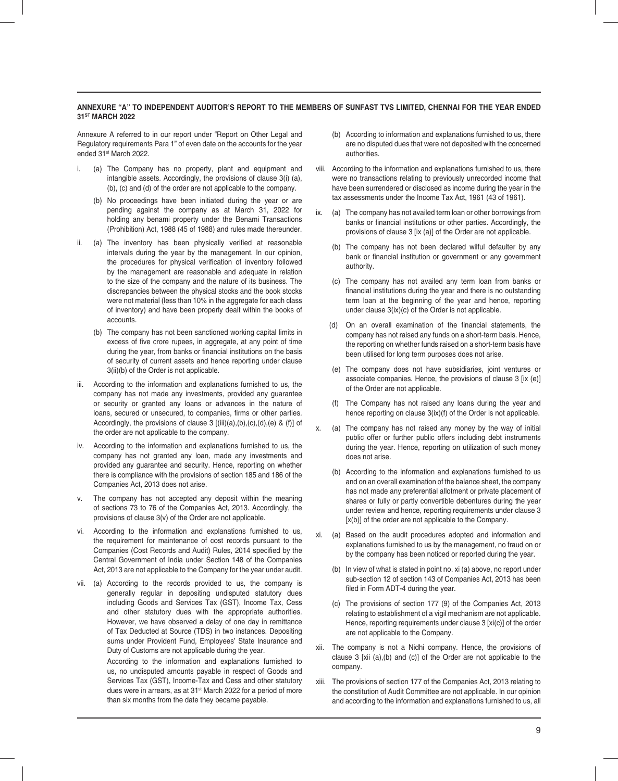## **ANNEXURE "A" TO INDEPENDENT AUDITOR'S REPORT TO THE MEMBERS OF SUNFAST TVS LIMITED, CHENNAI FOR THE YEAR ENDED 31ST MARCH 2022**

Annexure A referred to in our report under "Report on Other Legal and Regulatory requirements Para 1" of even date on the accounts for the year ended 31st March 2022.

- i. (a) The Company has no property, plant and equipment and intangible assets. Accordingly, the provisions of clause 3(i) (a), (b), (c) and (d) of the order are not applicable to the company.
	- (b) No proceedings have been initiated during the year or are pending against the company as at March 31, 2022 for holding any benami property under the Benami Transactions (Prohibition) Act, 1988 (45 of 1988) and rules made thereunder.
- ii. (a) The inventory has been physically verified at reasonable intervals during the year by the management. In our opinion, the procedures for physical verification of inventory followed by the management are reasonable and adequate in relation to the size of the company and the nature of its business. The discrepancies between the physical stocks and the book stocks were not material (less than 10% in the aggregate for each class of inventory) and have been properly dealt within the books of accounts.
	- (b) The company has not been sanctioned working capital limits in excess of five crore rupees, in aggregate, at any point of time during the year, from banks or financial institutions on the basis of security of current assets and hence reporting under clause 3(ii)(b) of the Order is not applicable.
- iii. According to the information and explanations furnished to us, the company has not made any investments, provided any guarantee or security or granted any loans or advances in the nature of loans, secured or unsecured, to companies, firms or other parties. Accordingly, the provisions of clause 3 [(iii)(a),(b),(c),(d),(e) & (f)] of the order are not applicable to the company.
- iv. According to the information and explanations furnished to us, the company has not granted any loan, made any investments and provided any guarantee and security. Hence, reporting on whether there is compliance with the provisions of section 185 and 186 of the Companies Act, 2013 does not arise.
- The company has not accepted any deposit within the meaning of sections 73 to 76 of the Companies Act, 2013. Accordingly, the provisions of clause 3(v) of the Order are not applicable.
- vi. According to the information and explanations furnished to us, the requirement for maintenance of cost records pursuant to the Companies (Cost Records and Audit) Rules, 2014 specified by the Central Government of India under Section 148 of the Companies Act, 2013 are not applicable to the Company for the year under audit.
- vii. (a) According to the records provided to us, the company is generally regular in depositing undisputed statutory dues including Goods and Services Tax (GST), Income Tax, Cess and other statutory dues with the appropriate authorities. However, we have observed a delay of one day in remittance of Tax Deducted at Source (TDS) in two instances. Depositing sums under Provident Fund, Employees' State Insurance and Duty of Customs are not applicable during the year.

 According to the information and explanations furnished to us, no undisputed amounts payable in respect of Goods and Services Tax (GST), Income-Tax and Cess and other statutory dues were in arrears, as at 31st March 2022 for a period of more than six months from the date they became payable.

- (b) According to information and explanations furnished to us, there are no disputed dues that were not deposited with the concerned authorities.
- viii. According to the information and explanations furnished to us, there were no transactions relating to previously unrecorded income that have been surrendered or disclosed as income during the year in the tax assessments under the Income Tax Act, 1961 (43 of 1961).
- ix. (a) The company has not availed term loan or other borrowings from banks or financial institutions or other parties. Accordingly, the provisions of clause 3 [ix (a)] of the Order are not applicable.
	- (b) The company has not been declared wilful defaulter by any bank or financial institution or government or any government authority.
	- (c) The company has not availed any term loan from banks or financial institutions during the year and there is no outstanding term loan at the beginning of the year and hence, reporting under clause 3(ix)(c) of the Order is not applicable.
	- (d) On an overall examination of the financial statements, the company has not raised any funds on a short-term basis. Hence, the reporting on whether funds raised on a short-term basis have been utilised for long term purposes does not arise.
	- (e) The company does not have subsidiaries, joint ventures or associate companies. Hence, the provisions of clause 3 [ix (e)] of the Order are not applicable.
	- (f) The Company has not raised any loans during the year and hence reporting on clause 3(ix)(f) of the Order is not applicable.
- x. (a) The company has not raised any money by the way of initial public offer or further public offers including debt instruments during the year. Hence, reporting on utilization of such money does not arise.
	- (b) According to the information and explanations furnished to us and on an overall examination of the balance sheet, the company has not made any preferential allotment or private placement of shares or fully or partly convertible debentures during the year under review and hence, reporting requirements under clause 3 [x(b)] of the order are not applicable to the Company.
- xi. (a) Based on the audit procedures adopted and information and explanations furnished to us by the management, no fraud on or by the company has been noticed or reported during the year.
	- (b) In view of what is stated in point no. xi (a) above, no report under sub-section 12 of section 143 of Companies Act, 2013 has been filed in Form ADT-4 during the year.
	- (c) The provisions of section 177 (9) of the Companies Act, 2013 relating to establishment of a vigil mechanism are not applicable. Hence, reporting requirements under clause 3 [xi(c)] of the order are not applicable to the Company.
- xii. The company is not a Nidhi company. Hence, the provisions of clause 3 [xii (a),(b) and (c)] of the Order are not applicable to the company.
- xiii. The provisions of section 177 of the Companies Act, 2013 relating to the constitution of Audit Committee are not applicable. In our opinion and according to the information and explanations furnished to us, all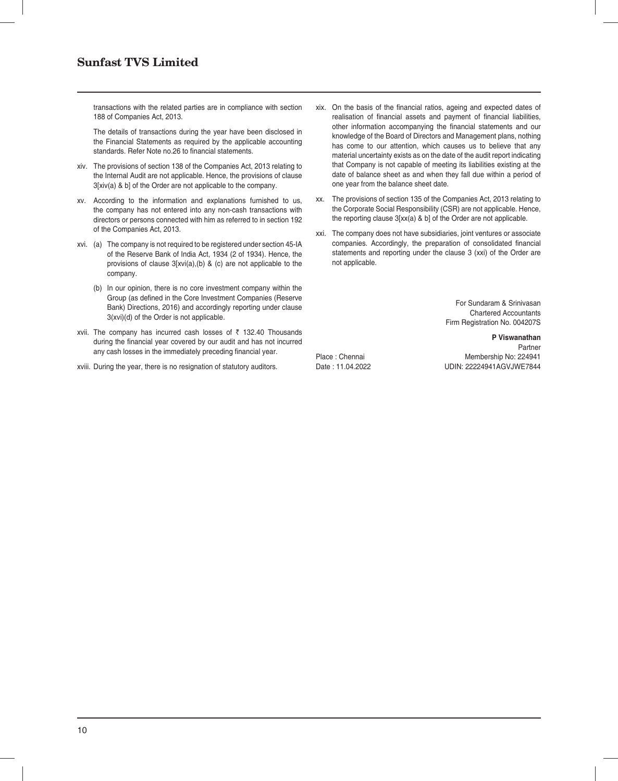transactions with the related parties are in compliance with section 188 of Companies Act, 2013.

 The details of transactions during the year have been disclosed in the Financial Statements as required by the applicable accounting standards. Refer Note no.26 to financial statements.

- xiv. The provisions of section 138 of the Companies Act, 2013 relating to the Internal Audit are not applicable. Hence, the provisions of clause 3[xiv(a) & b] of the Order are not applicable to the company.
- xv. According to the information and explanations furnished to us, the company has not entered into any non-cash transactions with directors or persons connected with him as referred to in section 192 of the Companies Act, 2013.
- xvi. (a) The company is not required to be registered under section 45-IA of the Reserve Bank of India Act, 1934 (2 of 1934). Hence, the provisions of clause 3[xvi(a),(b) & (c) are not applicable to the company.
	- (b) In our opinion, there is no core investment company within the Group (as defined in the Core Investment Companies (Reserve Bank) Directions, 2016) and accordingly reporting under clause 3(xvi)(d) of the Order is not applicable.
- xvii. The company has incurred cash losses of  $\bar{\tau}$  132.40 Thousands during the financial year covered by our audit and has not incurred any cash losses in the immediately preceding financial year.
- xviii. During the year, there is no resignation of statutory auditors.
- xix. On the basis of the financial ratios, ageing and expected dates of realisation of financial assets and payment of financial liabilities, other information accompanying the financial statements and our knowledge of the Board of Directors and Management plans, nothing has come to our attention, which causes us to believe that any material uncertainty exists as on the date of the audit report indicating that Company is not capable of meeting its liabilities existing at the date of balance sheet as and when they fall due within a period of one year from the balance sheet date.
- xx. The provisions of section 135 of the Companies Act, 2013 relating to the Corporate Social Responsibility (CSR) are not applicable. Hence, the reporting clause 3[xx(a) & b] of the Order are not applicable.
- xxi. The company does not have subsidiaries, joint ventures or associate companies. Accordingly, the preparation of consolidated financial statements and reporting under the clause 3 (xxi) of the Order are not applicable.

For Sundaram & Srinivasan Chartered Accountants Firm Registration No. 004207S

**P Viswanathan Partner** Partner *Partner* Partner Place : Chennai Membership No: 224941<br>
Date : 11.04.2022 UDIN: 22224941AGVJWE7844 UDIN: 22224941AGVJWE7844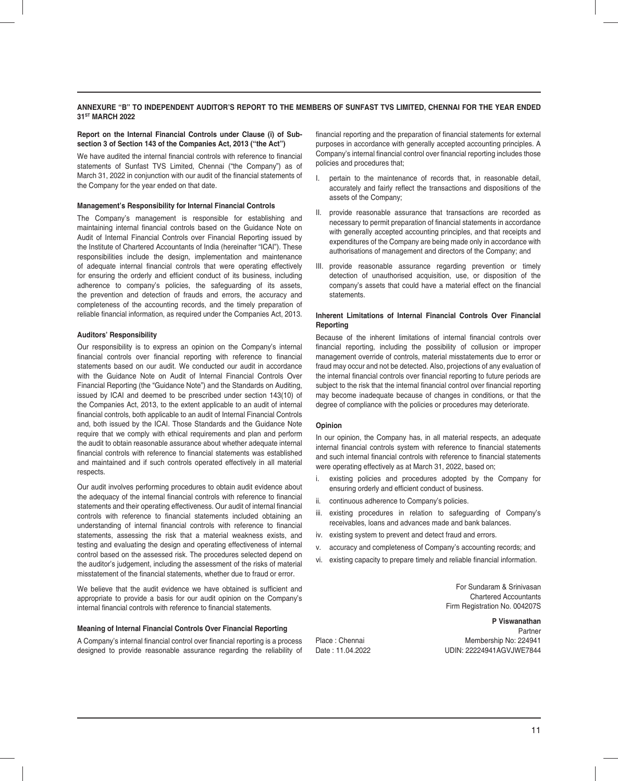## **ANNEXURE "B" TO INDEPENDENT AUDITOR'S REPORT TO THE MEMBERS OF SUNFAST TVS LIMITED, CHENNAI FOR THE YEAR ENDED 31ST MARCH 2022**

#### **Report on the Internal Financial Controls under Clause (i) of Subsection 3 of Section 143 of the Companies Act, 2013 ("the Act")**

We have audited the internal financial controls with reference to financial statements of Sunfast TVS Limited, Chennai ("the Company") as of March 31, 2022 in conjunction with our audit of the financial statements of the Company for the year ended on that date.

#### **Management's Responsibility for Internal Financial Controls**

The Company's management is responsible for establishing and maintaining internal financial controls based on the Guidance Note on Audit of Internal Financial Controls over Financial Reporting issued by the Institute of Chartered Accountants of India (hereinafter "ICAI"). These responsibilities include the design, implementation and maintenance of adequate internal financial controls that were operating effectively for ensuring the orderly and efficient conduct of its business, including adherence to company's policies, the safeguarding of its assets, the prevention and detection of frauds and errors, the accuracy and completeness of the accounting records, and the timely preparation of reliable financial information, as required under the Companies Act, 2013.

#### **Auditors' Responsibility**

Our responsibility is to express an opinion on the Company's internal financial controls over financial reporting with reference to financial statements based on our audit. We conducted our audit in accordance with the Guidance Note on Audit of Internal Financial Controls Over Financial Reporting (the "Guidance Note") and the Standards on Auditing, issued by ICAI and deemed to be prescribed under section 143(10) of the Companies Act, 2013, to the extent applicable to an audit of internal financial controls, both applicable to an audit of Internal Financial Controls and, both issued by the ICAI. Those Standards and the Guidance Note require that we comply with ethical requirements and plan and perform the audit to obtain reasonable assurance about whether adequate internal financial controls with reference to financial statements was established and maintained and if such controls operated effectively in all material respects.

Our audit involves performing procedures to obtain audit evidence about the adequacy of the internal financial controls with reference to financial statements and their operating effectiveness. Our audit of internal financial controls with reference to financial statements included obtaining an understanding of internal financial controls with reference to financial statements, assessing the risk that a material weakness exists, and testing and evaluating the design and operating effectiveness of internal control based on the assessed risk. The procedures selected depend on the auditor's judgement, including the assessment of the risks of material misstatement of the financial statements, whether due to fraud or error.

We believe that the audit evidence we have obtained is sufficient and appropriate to provide a basis for our audit opinion on the Company's internal financial controls with reference to financial statements.

#### **Meaning of Internal Financial Controls Over Financial Reporting**

A Company's internal financial control over financial reporting is a process designed to provide reasonable assurance regarding the reliability of

financial reporting and the preparation of financial statements for external purposes in accordance with generally accepted accounting principles. A Company's internal financial control over financial reporting includes those policies and procedures that;

- I. pertain to the maintenance of records that, in reasonable detail, accurately and fairly reflect the transactions and dispositions of the assets of the Company;
- II. provide reasonable assurance that transactions are recorded as necessary to permit preparation of financial statements in accordance with generally accepted accounting principles, and that receipts and expenditures of the Company are being made only in accordance with authorisations of management and directors of the Company; and
- III. provide reasonable assurance regarding prevention or timely detection of unauthorised acquisition, use, or disposition of the company's assets that could have a material effect on the financial statements.

#### **Inherent Limitations of Internal Financial Controls Over Financial Reporting**

Because of the inherent limitations of internal financial controls over financial reporting, including the possibility of collusion or improper management override of controls, material misstatements due to error or fraud may occur and not be detected. Also, projections of any evaluation of the internal financial controls over financial reporting to future periods are subject to the risk that the internal financial control over financial reporting may become inadequate because of changes in conditions, or that the degree of compliance with the policies or procedures may deteriorate.

#### **Opinion**

In our opinion, the Company has, in all material respects, an adequate internal financial controls system with reference to financial statements and such internal financial controls with reference to financial statements were operating effectively as at March 31, 2022, based on;

- existing policies and procedures adopted by the Company for ensuring orderly and efficient conduct of business.
- ii. continuous adherence to Company's policies.
- iii. existing procedures in relation to safeguarding of Company's receivables, loans and advances made and bank balances.
- iv. existing system to prevent and detect fraud and errors.
- v. accuracy and completeness of Company's accounting records; and
- vi. existing capacity to prepare timely and reliable financial information.

For Sundaram & Srinivasan Chartered Accountants Firm Registration No. 004207S

**P Viswanathan Partner** Partner *Partner* Partner Place : Chennai Membership No: 224941 Date : 11.04.2022 UDIN: 22224941AGVJWE7844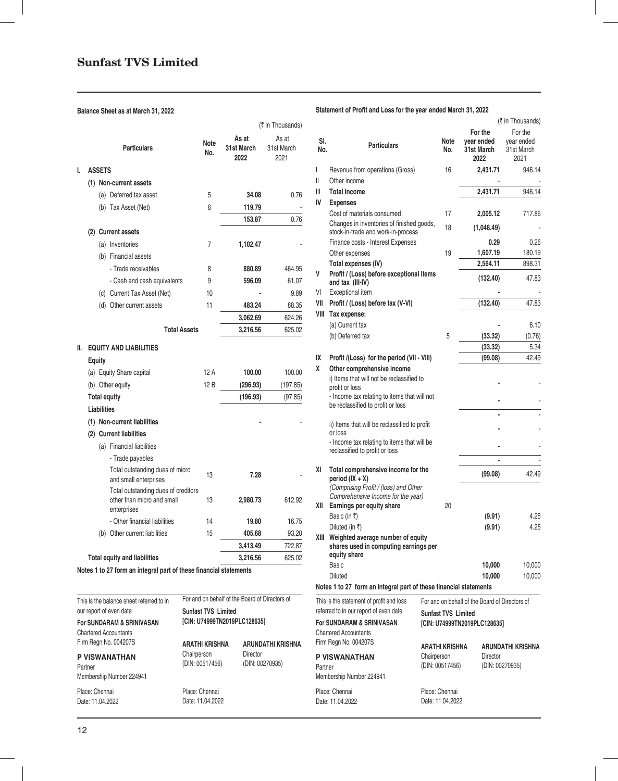## **Balance Sheet as at March 31, 2022**

|     |               |                                                                                                  |                            |                                                                                | (₹ in Thousands)            |
|-----|---------------|--------------------------------------------------------------------------------------------------|----------------------------|--------------------------------------------------------------------------------|-----------------------------|
|     |               | <b>Particulars</b>                                                                               | Note<br>No.                | As at<br>31st March<br>2022                                                    | As at<br>31st March<br>2021 |
| I.  | <b>ASSETS</b> |                                                                                                  |                            |                                                                                |                             |
|     |               | (1) Non-current assets                                                                           |                            |                                                                                |                             |
|     |               | (a) Deferred tax asset                                                                           | 5                          | 34.08                                                                          | 0.76                        |
|     |               | (b) Tax Asset (Net)                                                                              | 6                          | 119.79                                                                         |                             |
|     |               |                                                                                                  |                            | 153.87                                                                         | 0.76                        |
|     |               | (2) Current assets                                                                               |                            |                                                                                |                             |
|     |               | (a) Inventories                                                                                  | 7                          | 1,102.47                                                                       |                             |
|     |               | (b) Financial assets                                                                             |                            |                                                                                |                             |
|     |               | - Trade receivables                                                                              | 8                          | 880.89                                                                         | 464.95                      |
|     |               | - Cash and cash equivalents                                                                      | 9                          | 596.09                                                                         | 61.07                       |
|     |               | (c) Current Tax Asset (Net)                                                                      | 10                         |                                                                                | 9.89                        |
|     |               | (d) Other current assets                                                                         | 11                         | 483.24                                                                         | 88.35                       |
|     |               |                                                                                                  |                            | 3,062.69                                                                       | 624.26                      |
|     |               | <b>Total Assets</b>                                                                              |                            | 3,216.56                                                                       | 625.02                      |
| II. |               | <b>EQUITY AND LIABILITIES</b>                                                                    |                            |                                                                                |                             |
|     | Equity        |                                                                                                  |                            |                                                                                |                             |
|     |               | (a) Equity Share capital                                                                         | 12 A                       | 100.00                                                                         | 100.00                      |
|     |               | (b) Other equity                                                                                 | 12 B                       | (296.93)                                                                       | (197.85)                    |
|     |               | <b>Total equity</b>                                                                              |                            | (196.93)                                                                       | (97.85)                     |
|     | Liabilities   |                                                                                                  |                            |                                                                                |                             |
|     |               | (1) Non-current liabilities                                                                      |                            |                                                                                |                             |
|     |               | (2) Current liabilities                                                                          |                            |                                                                                |                             |
|     |               | (a) Financial liabilities                                                                        |                            |                                                                                |                             |
|     |               | - Trade payables                                                                                 |                            |                                                                                |                             |
|     |               | Total outstanding dues of micro<br>and small enterprises                                         | 13                         | 7.28                                                                           |                             |
|     |               | Total outstanding dues of creditors<br>other than micro and small<br>enterprises                 | 13                         | 2,980.73                                                                       | 612.92                      |
|     |               | - Other financial liabilities                                                                    | 14                         | 19.80                                                                          | 16.75                       |
|     |               | (b) Other current liabilities                                                                    | 15                         | 405.68                                                                         | 93.20                       |
|     |               |                                                                                                  |                            | 3,413.49                                                                       | 722.87                      |
|     |               | <b>Total equity and liabilities</b>                                                              |                            | 3,216.56                                                                       | 625.02                      |
|     |               | Notes 1 to 27 form an integral part of these financial statements                                |                            |                                                                                |                             |
|     |               | This is the balance sheet referred to in<br>our report of even date<br>For SUNDARAM & SRINIVASAN | <b>Sunfast TVS Limited</b> | For and on behalf of the Board of Directors of<br>[CIN: U74999TN2019PLC128635] |                             |

| <b>Chartered Accountants</b><br>Firm Regn No. 004207S       | <b>ARATHI KRISHNA</b>              | <b>ARUNDATHI KRISHNA</b>    |
|-------------------------------------------------------------|------------------------------------|-----------------------------|
| <b>P VISWANATHAN</b><br>Partner<br>Membership Number 224941 | Chairperson<br>(DIN: 00517456)     | Director<br>(DIN: 00270935) |
| Place: Chennai<br>Date: 11.04.2022                          | Place: Chennai<br>Date: 11.04.2022 |                             |

## Statement of Profit and Loss for the year ended March 31, 2022

|                                                      |                                                                                                                                           |                |                            |                                                | (₹ in Thousands)                            |
|------------------------------------------------------|-------------------------------------------------------------------------------------------------------------------------------------------|----------------|----------------------------|------------------------------------------------|---------------------------------------------|
| SI.<br>No.                                           | <b>Particulars</b>                                                                                                                        |                | Note<br>No.                | For the<br>year ended<br>31st March<br>2022    | For the<br>year ended<br>31st March<br>2021 |
| I                                                    | Revenue from operations (Gross)                                                                                                           |                | 16                         | 2,431.71                                       | 946.14                                      |
| II                                                   | Other income                                                                                                                              |                |                            |                                                |                                             |
| Ш                                                    | <b>Total Income</b>                                                                                                                       |                |                            | 2,431.71                                       | 946.14                                      |
| IV                                                   | <b>Expenses</b>                                                                                                                           |                |                            |                                                |                                             |
|                                                      | Cost of materials consumed                                                                                                                |                | 17                         | 2,005.12                                       | 717.86                                      |
|                                                      | Changes in inventories of finished goods,<br>stock-in-trade and work-in-process                                                           |                | 18                         | (1,048.49)                                     |                                             |
|                                                      | Finance costs - Interest Expenses                                                                                                         |                |                            | 0.29                                           | 0.26                                        |
|                                                      | Other expenses                                                                                                                            |                | 19                         | 1,607.19                                       | 180.19                                      |
|                                                      | Total expenses (IV)                                                                                                                       |                |                            | 2,564.11                                       | 898.31                                      |
| ٧                                                    | Profit / (Loss) before exceptional items<br>and tax (III-IV)                                                                              |                |                            | (132.40)                                       | 47.83                                       |
| VI                                                   | Exceptional item                                                                                                                          |                |                            |                                                |                                             |
| VII                                                  | Profit / (Loss) before tax (V-VI)                                                                                                         |                |                            | (132.40)                                       | 47.83                                       |
| VIII                                                 | Tax expense:                                                                                                                              |                |                            |                                                |                                             |
|                                                      | (a) Current tax                                                                                                                           |                |                            |                                                | 6.10                                        |
|                                                      | (b) Deferred tax                                                                                                                          |                | 5                          | (33.32)                                        | (0.76)                                      |
|                                                      |                                                                                                                                           |                |                            | (33.32)                                        | 5.34                                        |
| IX                                                   | Profit /(Loss) for the period (VII - VIII)                                                                                                |                |                            | (99.08)                                        | 42.49                                       |
| χ                                                    | Other comprehensive income<br>i) Items that will not be reclassified to<br>profit or loss<br>- Income tax relating to items that will not |                |                            |                                                |                                             |
|                                                      | be reclassified to profit or loss                                                                                                         |                |                            |                                                |                                             |
|                                                      | ii) Items that will be reclassified to profit<br>or loss                                                                                  |                |                            |                                                |                                             |
|                                                      | - Income tax relating to items that will be<br>reclassified to profit or loss                                                             |                |                            |                                                |                                             |
|                                                      |                                                                                                                                           |                |                            |                                                |                                             |
| ΧI                                                   | Total comprehensive income for the<br>period $(IX + X)$                                                                                   |                |                            | (99.08)                                        | 42.49                                       |
| XII                                                  | (Comprising Profit / (loss) and Other<br>Comprehensive Income for the year)<br>Earnings per equity share                                  |                | 20                         |                                                |                                             |
|                                                      | Basic (in ₹)                                                                                                                              |                |                            | (9.91)                                         | 4.25                                        |
|                                                      | Diluted (in ₹)                                                                                                                            |                |                            | (9.91)                                         | 4.25                                        |
| XIII                                                 | Weighted average number of equity<br>shares used in computing earnings per<br>equity share                                                |                |                            |                                                |                                             |
|                                                      | <b>Basic</b>                                                                                                                              |                |                            | 10,000                                         | 10,000                                      |
|                                                      | <b>Diluted</b>                                                                                                                            |                |                            | 10,000                                         | 10,000                                      |
|                                                      | Notes 1 to 27 form an integral part of these financial statements                                                                         |                |                            |                                                |                                             |
|                                                      | This is the statement of profit and loss                                                                                                  |                |                            | For and on behalf of the Board of Directors of |                                             |
|                                                      | referred to in our report of even date<br>For SUNDARAM & SRINIVASAN<br><b>Chartered Accountants</b>                                       |                | <b>Sunfast TVS Limited</b> | [CIN: U74999TN2019PLC128635]                   |                                             |
|                                                      | Firm Regn No. 004207S                                                                                                                     |                | ARATHI KRISHNA             |                                                | <b>ARUNDATHI KRISHNA</b>                    |
| P VISWANATHAN<br>Partner<br>Membership Number 224941 |                                                                                                                                           | Chairperson    | (DIN: 00517456)            | Director<br>(DIN: 00270935)                    |                                             |
|                                                      | Place: Chennai<br>Date: 11.04.2022                                                                                                        | Place: Chennai | Date: 11.04.2022           |                                                |                                             |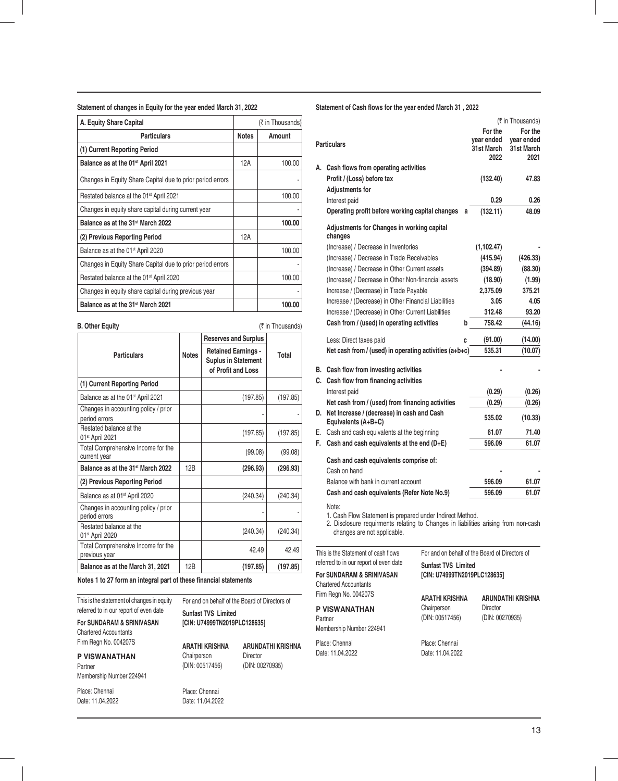**Statement of changes in Equity for the year ended March 31, 2022**

| A. Equity Share Capital                                    |              | (₹ in Thousands) |
|------------------------------------------------------------|--------------|------------------|
| <b>Particulars</b>                                         | <b>Notes</b> | Amount           |
| (1) Current Reporting Period                               |              |                  |
| Balance as at the 01 <sup>st</sup> April 2021              | 12A          | 100.00           |
| Changes in Equity Share Capital due to prior period errors |              |                  |
| Restated balance at the 01 <sup>st</sup> April 2021        |              | 100.00           |
| Changes in equity share capital during current year        |              |                  |
| Balance as at the 31 <sup>st</sup> March 2022              |              | 100.00           |
| (2) Previous Reporting Period                              | 12A          |                  |
| Balance as at the 01 <sup>st</sup> April 2020              |              | 100.00           |
| Changes in Equity Share Capital due to prior period errors |              |                  |
| Restated balance at the 01 <sup>st</sup> April 2020        |              | 100.00           |
| Changes in equity share capital during previous year       |              |                  |
| Balance as at the 31 <sup>st</sup> March 2021              |              | 100.00           |

| <b>B. Other Equity</b>                                |              |                                                                                | (₹ in Thousands) |
|-------------------------------------------------------|--------------|--------------------------------------------------------------------------------|------------------|
|                                                       |              | <b>Reserves and Surplus</b>                                                    |                  |
| <b>Particulars</b>                                    | <b>Notes</b> | <b>Retained Earnings -</b><br><b>Suplus in Statement</b><br>of Profit and Loss | <b>Total</b>     |
| (1) Current Reporting Period                          |              |                                                                                |                  |
| Balance as at the 01 <sup>st</sup> April 2021         |              | (197.85)                                                                       | (197.85)         |
| Changes in accounting policy / prior<br>period errors |              |                                                                                |                  |
| Restated balance at the<br>01st April 2021            |              | (197.85)                                                                       | (197.85)         |
| Total Comprehensive Income for the<br>current year    |              | (99.08)                                                                        | (99.08)          |
| Balance as at the 31 <sup>st</sup> March 2022         | 12B          | (296.93)                                                                       | (296.93)         |
| (2) Previous Reporting Period                         |              |                                                                                |                  |
| Balance as at 01 <sup>st</sup> April 2020             |              | (240.34)                                                                       | (240.34)         |
| Changes in accounting policy / prior<br>period errors |              |                                                                                |                  |
| Restated balance at the<br>01st April 2020            |              | (240.34)                                                                       | (240.34)         |
| Total Comprehensive Income for the<br>previous year   |              | 42.49                                                                          | 42.49            |
| Balance as at the March 31, 2021                      | 12B          | (197.85)                                                                       | (197.85)         |

**Notes 1 to 27 form an integral part of these financial statements** 

| This is the statement of changes in equity | For and on behalf of the Board of Directors of |
|--------------------------------------------|------------------------------------------------|
| referred to in our report of even date     | <b>Sunfast TVS Limited</b>                     |
| For SUNDARAM & SRINIVASAN                  | [CIN: U74999TN2019PLC128635]                   |

Chartered Accountants Firm Regn No. 004207S

## **P VISWANATHAN**

Partner Membership Number 224941

Place: Chennai Date: 11.04.2022

Place: Chennai Date: 11.04.2022

**ARATHI KRISHNA ARUNDATHI KRISHNA**

(DIN: 00270935)

Chairperson Director<br>(DIN: 00517456) (DIN: 00

Statement of Cash flows for the year ended March 31, 2022

|    |                                                                                                  |   |                                             | (₹ in Thousands)                            |
|----|--------------------------------------------------------------------------------------------------|---|---------------------------------------------|---------------------------------------------|
|    | <b>Particulars</b>                                                                               |   | For the<br>vear ended<br>31st March<br>2022 | For the<br>vear ended<br>31st March<br>2021 |
| А. | Cash flows from operating activities                                                             |   |                                             |                                             |
|    | Profit / (Loss) before tax                                                                       |   | (132.40)                                    | 47.83                                       |
|    | <b>Adjustments for</b>                                                                           |   |                                             |                                             |
|    | Interest paid                                                                                    |   | 0.29                                        | 0.26                                        |
|    | Operating profit before working capital changes                                                  | a | (132.11)                                    | 48.09                                       |
|    | Adjustments for Changes in working capital<br>changes                                            |   |                                             |                                             |
|    | (Increase) / Decrease in Inventories                                                             |   | (1, 102.47)                                 |                                             |
|    | (Increase) / Decrease in Trade Receivables                                                       |   | (415.94)                                    | (426.33)                                    |
|    | (Increase) / Decrease in Other Current assets                                                    |   | (394.89)                                    | (88.30)                                     |
|    | (Increase) / Decrease in Other Non-financial assets                                              |   | (18.90)                                     | (1.99)                                      |
|    | Increase / (Decrease) in Trade Payable                                                           |   | 2,375.09                                    | 375.21                                      |
|    | Increase / (Decrease) in Other Financial Liabilities                                             |   | 3.05                                        | 4.05                                        |
|    | Increase / (Decrease) in Other Current Liabilities<br>Cash from / (used) in operating activities |   | 312.48                                      | 93.20                                       |
|    |                                                                                                  | b | 758.42                                      | (44.16)                                     |
|    | Less: Direct taxes paid                                                                          | C | (91.00)                                     | (14.00)                                     |
|    | Net cash from / (used) in operating activities (a+b+c)                                           |   | 535.31                                      | (10.07)                                     |
|    |                                                                                                  |   |                                             |                                             |
| В. | Cash flow from investing activities                                                              |   |                                             |                                             |
| C. | Cash flow from financing activities                                                              |   |                                             |                                             |
|    | Interest paid                                                                                    |   | (0.29)                                      | (0.26)                                      |
| D. | Net cash from / (used) from financing activities<br>Net Increase / (decrease) in cash and Cash   |   | (0.29)                                      | (0.26)                                      |
|    | Equivalents (A+B+C)                                                                              |   | 535.02                                      | (10.33)                                     |
| Е. | Cash and cash equivalents at the beginning                                                       |   | 61.07                                       | 71.40                                       |
| F. | Cash and cash equivalents at the end (D+E)                                                       |   | 596.09                                      | 61.07                                       |
|    | Cash and cash equivalents comprise of:                                                           |   |                                             |                                             |
|    | Cash on hand                                                                                     |   |                                             |                                             |
|    | Balance with bank in current account                                                             |   | 596.09                                      | 61.07                                       |
|    | Cash and cash equivalents (Refer Note No.9)                                                      |   | 596.09                                      | 61.07                                       |
|    | Note:<br>1. Cash Flow Statement is prepared under Indirect Method.                               |   |                                             |                                             |

2. Disclosure requirments relating to Changes in liabilities arising from non-cash changes are not applicable.

This is the Statement of cash flows referred to in our report of even date **For SUNDARAM & SRINIVASAN**

Chartered Accountants

Firm Regn No. 004207S

## **P VISWANATHAN**

Partner Membership Number 224941 Place: Chennai

Date: 11.04.2022

**Sunfast TVS Limited [CIN: U74999TN2019PLC128635]**

For and on behalf of the Board of Directors of

# **ARATHI KRISHNA ARUNDATHI KRISHNA**

Chairperson Director<br>(DIN: 00517456) (DIN: 00 (DIN: 00270935)

Place: Chennai Date: 11.04.2022

13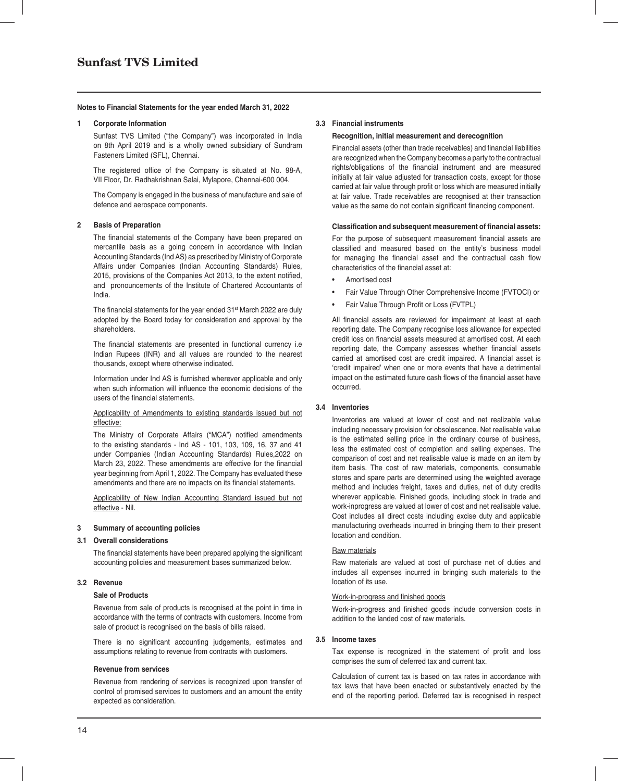#### **1 Corporate Information**

 Sunfast TVS Limited ("the Company") was incorporated in India on 8th April 2019 and is a wholly owned subsidiary of Sundram Fasteners Limited (SFL), Chennai.

The registered office of the Company is situated at No. 98-A, VII Floor, Dr. Radhakrishnan Salai, Mylapore, Chennai-600 004.

 The Company is engaged in the business of manufacture and sale of defence and aerospace components.

#### **2 Basis of Preparation**

The financial statements of the Company have been prepared on mercantile basis as a going concern in accordance with Indian Accounting Standards (Ind AS) as prescribed by Ministry of Corporate Affairs under Companies (Indian Accounting Standards) Rules, 2015, provisions of the Companies Act 2013, to the extent notified, and pronouncements of the Institute of Chartered Accountants of India.

The financial statements for the year ended 31<sup>st</sup> March 2022 are duly adopted by the Board today for consideration and approval by the shareholders.

The financial statements are presented in functional currency i.e Indian Rupees (INR) and all values are rounded to the nearest thousands, except where otherwise indicated.

 Information under Ind AS is furnished wherever applicable and only when such information will influence the economic decisions of the users of the financial statements.

 Applicability of Amendments to existing standards issued but not effective:

The Ministry of Corporate Affairs ("MCA") notified amendments to the existing standards - Ind AS - 101, 103, 109, 16, 37 and 41 under Companies (Indian Accounting Standards) Rules,2022 on March 23, 2022. These amendments are effective for the financial year beginning from April 1, 2022. The Company has evaluated these amendments and there are no impacts on its financial statements.

 Applicability of New Indian Accounting Standard issued but not effective - Nil.

#### **3 Summary of accounting policies**

#### **3.1 Overall considerations**

The financial statements have been prepared applying the significant accounting policies and measurement bases summarized below.

## **3.2 Revenue**

#### **Sale of Products**

 Revenue from sale of products is recognised at the point in time in accordance with the terms of contracts with customers. Income from sale of product is recognised on the basis of bills raised.

There is no significant accounting judgements, estimates and assumptions relating to revenue from contracts with customers.

#### **Revenue from services**

 Revenue from rendering of services is recognized upon transfer of control of promised services to customers and an amount the entity expected as consideration.

#### **3.3 Financial instruments**

#### **Recognition, initial measurement and derecognition**

Financial assets (other than trade receivables) and financial liabilities are recognized when the Company becomes a party to the contractual rights/obligations of the financial instrument and are measured initially at fair value adjusted for transaction costs, except for those carried at fair value through profit or loss which are measured initially at fair value. Trade receivables are recognised at their transaction value as the same do not contain significant financing component.

## **Classification and subsequent measurement of financial assets:**

For the purpose of subsequent measurement financial assets are classified and measured based on the entity's business model for managing the financial asset and the contractual cash flow characteristics of the financial asset at:

- Amortised cost
- Fair Value Through Other Comprehensive Income (FVTOCI) or
- Fair Value Through Profit or Loss (FVTPL)

All financial assets are reviewed for impairment at least at each reporting date. The Company recognise loss allowance for expected credit loss on financial assets measured at amortised cost. At each reporting date, the Company assesses whether financial assets carried at amortised cost are credit impaired. A financial asset is 'credit impaired' when one or more events that have a detrimental impact on the estimated future cash flows of the financial asset have occurred.

#### **3.4 Inventories**

 Inventories are valued at lower of cost and net realizable value including necessary provision for obsolescence. Net realisable value is the estimated selling price in the ordinary course of business, less the estimated cost of completion and selling expenses. The comparison of cost and net realisable value is made on an item by item basis. The cost of raw materials, components, consumable stores and spare parts are determined using the weighted average method and includes freight, taxes and duties, net of duty credits wherever applicable. Finished goods, including stock in trade and work-inprogress are valued at lower of cost and net realisable value. Cost includes all direct costs including excise duty and applicable manufacturing overheads incurred in bringing them to their present location and condition.

## Raw materials

 Raw materials are valued at cost of purchase net of duties and includes all expenses incurred in bringing such materials to the location of its use.

## Work-in-progress and finished goods

Work-in-progress and finished goods include conversion costs in addition to the landed cost of raw materials.

#### **3.5 Income taxes**

Tax expense is recognized in the statement of profit and loss comprises the sum of deferred tax and current tax.

 Calculation of current tax is based on tax rates in accordance with tax laws that have been enacted or substantively enacted by the end of the reporting period. Deferred tax is recognised in respect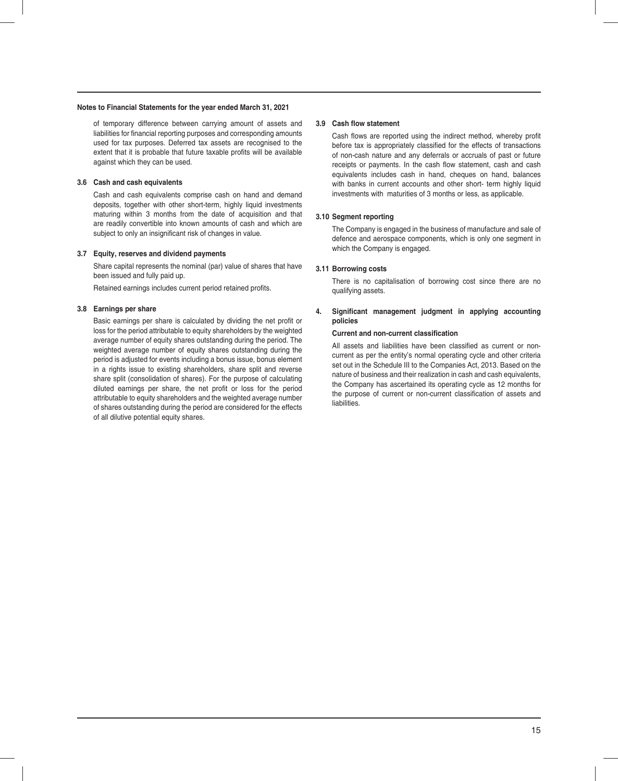of temporary difference between carrying amount of assets and liabilities for financial reporting purposes and corresponding amounts used for tax purposes. Deferred tax assets are recognised to the extent that it is probable that future taxable profits will be available against which they can be used.

#### **3.6 Cash and cash equivalents**

 Cash and cash equivalents comprise cash on hand and demand deposits, together with other short-term, highly liquid investments maturing within 3 months from the date of acquisition and that are readily convertible into known amounts of cash and which are subject to only an insignificant risk of changes in value.

#### **3.7 Equity, reserves and dividend payments**

 Share capital represents the nominal (par) value of shares that have been issued and fully paid up.

Retained earnings includes current period retained profits.

#### **3.8 Earnings per share**

Basic earnings per share is calculated by dividing the net profit or loss for the period attributable to equity shareholders by the weighted average number of equity shares outstanding during the period. The weighted average number of equity shares outstanding during the period is adjusted for events including a bonus issue, bonus element in a rights issue to existing shareholders, share split and reverse share split (consolidation of shares). For the purpose of calculating diluted earnings per share, the net profit or loss for the period attributable to equity shareholders and the weighted average number of shares outstanding during the period are considered for the effects of all dilutive potential equity shares.

#### **3.9 Cash flow statement**

Cash flows are reported using the indirect method, whereby profit before tax is appropriately classified for the effects of transactions of non-cash nature and any deferrals or accruals of past or future receipts or payments. In the cash flow statement, cash and cash equivalents includes cash in hand, cheques on hand, balances with banks in current accounts and other short- term highly liquid investments with maturities of 3 months or less, as applicable.

## **3.10 Segment reporting**

 The Company is engaged in the business of manufacture and sale of defence and aerospace components, which is only one segment in which the Company is engaged.

## **3.11 Borrowing costs**

 There is no capitalisation of borrowing cost since there are no qualifying assets.

## 4. Significant management judgment in applying accounting **policies**

#### **Current and non-current classification**

All assets and liabilities have been classified as current or noncurrent as per the entity's normal operating cycle and other criteria set out in the Schedule III to the Companies Act, 2013. Based on the nature of business and their realization in cash and cash equivalents, the Company has ascertained its operating cycle as 12 months for the purpose of current or non-current classification of assets and liabilities.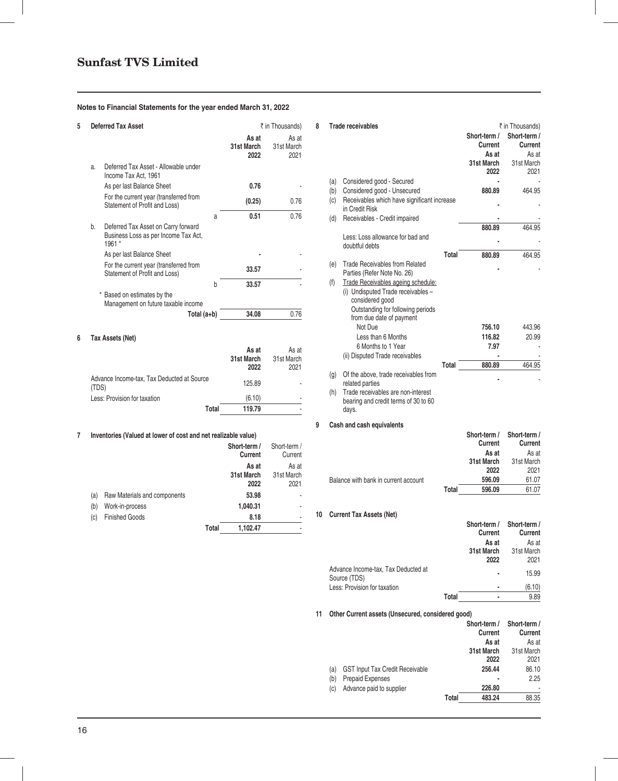| 5 |    | <b>Deferred Tax Asset</b>                                                             |   | ₹ in Thousands)                    |                             |  |
|---|----|---------------------------------------------------------------------------------------|---|------------------------------------|-----------------------------|--|
|   |    |                                                                                       |   | As at<br><b>31st March</b><br>2022 | As at<br>31st March<br>2021 |  |
|   | a. | Deferred Tax Asset - Allowable under<br>Income Tax Act, 1961                          |   |                                    |                             |  |
|   |    | As per last Balance Sheet                                                             |   | 0.76                               |                             |  |
|   |    | For the current year (transferred from<br>Statement of Profit and Loss)               |   | (0.25)                             | 0.76                        |  |
|   |    |                                                                                       | a | 0.51                               | 0.76                        |  |
|   | b. | Deferred Tax Asset on Carry forward<br>Business Loss as per Income Tax Act,<br>1961 * |   |                                    |                             |  |
|   |    | As per last Balance Sheet                                                             |   |                                    |                             |  |
|   |    | For the current year (transferred from<br>Statement of Profit and Loss)               |   | 33.57                              |                             |  |
|   |    |                                                                                       | b | 33.57                              |                             |  |
|   |    | Based on estimates by the<br>Management on future taxable income                      |   |                                    |                             |  |
|   |    | Total (a+b)                                                                           |   | 34.08                              | 0.76                        |  |
|   |    |                                                                                       |   |                                    |                             |  |

## **6 Tax Assets (Net)**

|                                                     | As at<br>31st March<br>2022 | As at<br>31st March<br>2021 |
|-----------------------------------------------------|-----------------------------|-----------------------------|
| Advance Income-tax, Tax Deducted at Source<br>(TDS) | 125.89                      |                             |
| Less: Provision for taxation                        | (6.10)                      |                             |
| Total                                               | 119.79                      |                             |

## **7 Inventories (Valued at lower of cost and net realizable value)**

|     |                              |       | Short-term /<br>Current     | Short-term /<br>Current     |
|-----|------------------------------|-------|-----------------------------|-----------------------------|
|     |                              |       | As at<br>31st March<br>2022 | As at<br>31st March<br>2021 |
| (a) | Raw Materials and components |       | 53.98                       |                             |
| (b) | Work-in-process              |       | 1,040.31                    |                             |
| (c) | <b>Finished Goods</b>        |       | 8.18                        |                             |
|     |                              | Total | 1.102.47                    |                             |

| 8 | <b>Trade receivables</b> |                                                                                     |       | ₹ in Thousands) |              |  |  |
|---|--------------------------|-------------------------------------------------------------------------------------|-------|-----------------|--------------|--|--|
|   |                          |                                                                                     |       | Short-term /    | Short-term / |  |  |
|   |                          |                                                                                     |       | Current         | Current      |  |  |
|   |                          |                                                                                     |       | As at           | As at        |  |  |
|   |                          |                                                                                     |       | 31st March      | 31st March   |  |  |
|   |                          |                                                                                     |       | 2022            | 2021         |  |  |
|   | (a)                      | Considered good - Secured                                                           |       |                 |              |  |  |
|   | (b)                      | Considered good - Unsecured                                                         |       | 880.89          | 464.95       |  |  |
|   | (c)                      | Receivables which have significant increase<br>in Credit Risk                       |       |                 |              |  |  |
|   | (d)                      | Receivables - Credit impaired                                                       |       |                 |              |  |  |
|   |                          |                                                                                     |       | 880.89          | 464.95       |  |  |
|   |                          | Less: Loss allowance for bad and                                                    |       |                 |              |  |  |
|   |                          | doubtful debts                                                                      |       |                 |              |  |  |
|   |                          |                                                                                     | Total | 880.89          | 464.95       |  |  |
|   | (e)                      | <b>Trade Receivables from Related</b><br>Parties (Refer Note No. 26)                |       |                 |              |  |  |
|   | (f)                      | Trade Receivables ageing schedule:                                                  |       |                 |              |  |  |
|   |                          | (i) Undisputed Trade receivables -                                                  |       |                 |              |  |  |
|   |                          | considered good                                                                     |       |                 |              |  |  |
|   |                          | Outstanding for following periods                                                   |       |                 |              |  |  |
|   |                          | from due date of payment                                                            |       |                 |              |  |  |
|   |                          | Not Due                                                                             |       | 756.10          | 443.96       |  |  |
|   |                          | Less than 6 Months                                                                  |       | 116.82          | 20.99        |  |  |
|   |                          | 6 Months to 1 Year                                                                  |       | 7.97            |              |  |  |
|   |                          | (ii) Disputed Trade receivables                                                     |       |                 |              |  |  |
|   |                          |                                                                                     | Total | 880.89          | 464.95       |  |  |
|   | (q)                      | Of the above, trade receivables from<br>related parties                             |       |                 |              |  |  |
|   | (h)                      | Trade receivables are non-interest<br>bearing and credit terms of 30 to 60<br>days. |       |                 |              |  |  |
| 9 |                          | Cash and cash equivalents                                                           |       |                 |              |  |  |

#### **Short-term / Short-term / Current Current As at 31st March 2022** As at 31st March  $2021$ <br>61.07 Balance with bank in current account<br>
Total
Total
596.09
61.07
596.09
61.07
596.09
51.07
596.09
51.07
596.09
51.07
596.09
51.07
596.09
51.07
596.09
51.07
596.09
51.07
596.09
51.07
596.09
51.07
596.09
51.07
596.09
51.07
596 Total 596.09

## **10 Current Tax Assets (Net)**

|       | Short-term /<br>Current | Short-term /<br>Current |
|-------|-------------------------|-------------------------|
|       | As at                   | As at                   |
|       | 31st March              | 31st March              |
|       | 2022                    | 2021                    |
|       |                         | 15.99                   |
|       |                         | (6.10)                  |
| Total |                         | 9.89                    |
|       |                         |                         |

## **11 Other Current assets (Unsecured, considered good)**

|     |                                        |       | Short-term /<br>Current | Short-term /<br>Current |
|-----|----------------------------------------|-------|-------------------------|-------------------------|
|     |                                        |       | As at                   | As at                   |
|     |                                        |       | 31st March              | 31st March              |
|     |                                        |       | 2022                    | 2021                    |
| (a) | <b>GST Input Tax Credit Receivable</b> |       | 256.44                  | 86.10                   |
| (b) | <b>Prepaid Expenses</b>                |       |                         | 2.25                    |
| (c) | Advance paid to supplier               |       | 226.80                  |                         |
|     |                                        | Total | 483.24                  | 88.35                   |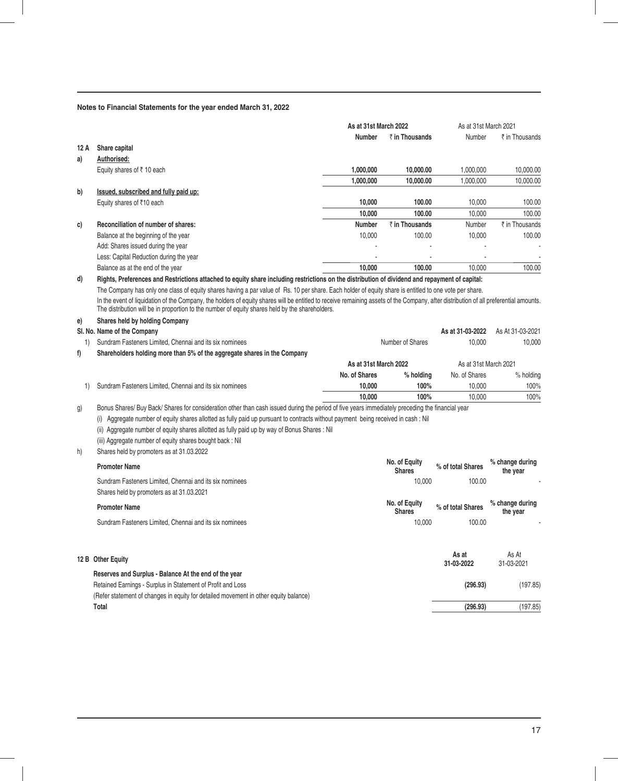|      |                                         |               | As at 31st March 2022  |           | As at 31st March 2021 |
|------|-----------------------------------------|---------------|------------------------|-----------|-----------------------|
|      |                                         | <b>Number</b> | ₹ in Thousands         | Number    | ₹ in Thousands        |
| 12 A | Share capital                           |               |                        |           |                       |
| a)   | Authorised:                             |               |                        |           |                       |
|      | Equity shares of $\bar{z}$ 10 each      | 1.000.000     | 10,000.00              | 1,000,000 | 10.000.00             |
|      |                                         | 1,000,000     | 10.000.00              | 1,000,000 | 10,000.00             |
| b)   | Issued, subscribed and fully paid up:   |               |                        |           |                       |
|      | Equity shares of ₹10 each               | 10.000        | 100.00                 | 10.000    | 100.00                |
|      |                                         | 10.000        | 100.00                 | 10.000    | 100.00                |
| c)   | Reconciliation of number of shares:     | Number        | $\bar{z}$ in Thousands | Number    | ₹ in Thousands        |
|      | Balance at the beginning of the year    | 10.000        | 100.00                 | 10.000    | 100.00                |
|      | Add: Shares issued during the year      |               |                        |           |                       |
|      | Less: Capital Reduction during the year |               |                        |           |                       |
|      | Balance as at the end of the year       | 10,000        | 100.00                 | 10,000    | 100.00                |

## **d) Rights, Preferences and Restrictions attached to equity share including restrictions on the distribution of dividend and repayment of capital:**

The Company has only one class of equity shares having a par value of Rs. 10 per share. Each holder of equity share is entitled to one vote per share. In the event of liquidation of the Company, the holders of equity shares will be entitled to receive remaining assets of the Company, after distribution of all preferential amounts. The distribution will be in proportion to the number of equity shares held by the shareholders.

## **e) Shares held by holding Company**

|    | SI. No. Name of the Company                                              |                       |                  | As at 31-03-2022      | As At 31-03-2021 |
|----|--------------------------------------------------------------------------|-----------------------|------------------|-----------------------|------------------|
|    | Sundram Fasteners Limited, Chennai and its six nominees                  |                       | Number of Shares | 10.000                | 10.000           |
| f) | Shareholders holding more than 5% of the aggregate shares in the Company |                       |                  |                       |                  |
|    |                                                                          | As at 31st March 2022 |                  | As at 31st March 2021 |                  |
|    |                                                                          | No. of Shares         | % holding        | No. of Shares         | % holding        |
|    | Sundram Fasteners Limited, Chennai and its six nominees                  | 10.000                | 100%             | 10.000                | 100%             |
|    |                                                                          | 10.000                | 100%             | 10.000                | 100%             |

g) Bonus Shares/ Buy Back/ Shares for consideration other than cash issued during the period of five years immediately preceding the financial year (i) Aggregate number of equity shares allotted as fully paid up pursuant to contracts without payment being received in cash : Nil (ii) Aggregate number of equity shares allotted as fully paid up by way of Bonus Shares : Nil

(iii) Aggregate number of equity shares bought back : Nil

h) Shares held by promoters as at 31.03.2022

| <b>Promoter Name</b>                                    | No. of Equity<br><b>Shares</b> | % of total Shares | % change during<br>the vear |
|---------------------------------------------------------|--------------------------------|-------------------|-----------------------------|
| Sundram Fasteners Limited, Chennai and its six nominees | 10.000                         | 100.00            |                             |
| Shares held by promoters as at 31.03.2021               |                                |                   |                             |
| <b>Promoter Name</b>                                    | No. of Equity<br><b>Shares</b> | % of total Shares | % change during<br>the vear |
| Sundram Fasteners Limited, Chennai and its six nominees | 10.000                         | 100.00            |                             |

| 12 B Other Equity                                                                    | As at<br>31-03-2022 | As At<br>31-03-2021 |
|--------------------------------------------------------------------------------------|---------------------|---------------------|
| Reserves and Surplus - Balance At the end of the year                                |                     |                     |
| Retained Earnings - Surplus in Statement of Profit and Loss                          | (296.93)            | (197.85)            |
| (Refer statement of changes in equity for detailed movement in other equity balance) |                     |                     |
| Total                                                                                | (296.93)            | (197.85             |
|                                                                                      |                     |                     |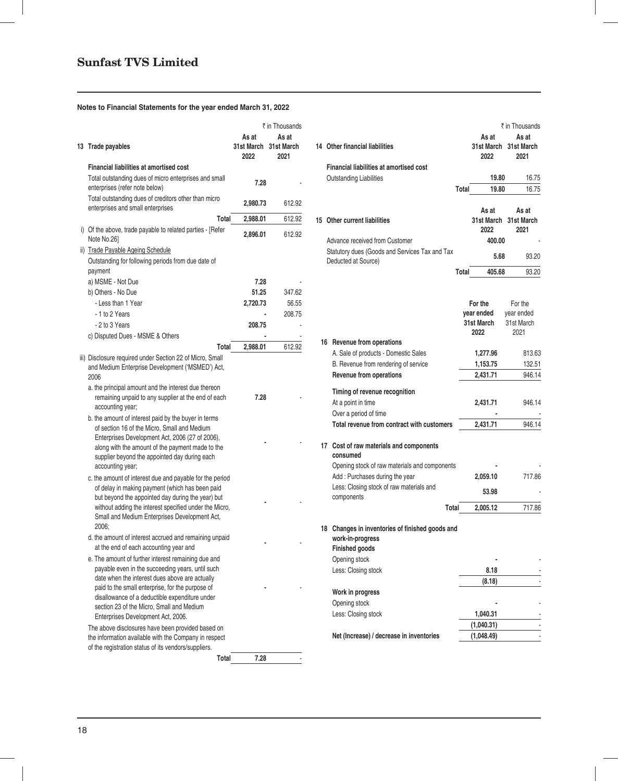|                                                                                                                                                                                       | As at                     | ₹ in Thousands<br>As at |                                                                                           |
|---------------------------------------------------------------------------------------------------------------------------------------------------------------------------------------|---------------------------|-------------------------|-------------------------------------------------------------------------------------------|
| 13 Trade payables                                                                                                                                                                     | <b>31st March</b><br>2022 | 31st March<br>2021      | 14 Other financial liabilities                                                            |
| <b>Financial liabilities at amortised cost</b>                                                                                                                                        |                           |                         | <b>Financial liabilities at amortise</b>                                                  |
| Total outstanding dues of micro enterprises and small<br>enterprises (refer note below)                                                                                               | 7.28                      |                         | Outstanding Liabilities                                                                   |
| Total outstanding dues of creditors other than micro<br>enterprises and small enterprises                                                                                             | 2,980.73                  | 612.92                  |                                                                                           |
| Total                                                                                                                                                                                 | 2,988.01                  | 612.92                  | 15 Other current liabilities                                                              |
| i) Of the above, trade payable to related parties - [Refer<br>Note No.261                                                                                                             | 2,896.01                  | 612.92                  | Advance received from Custome                                                             |
| ii) Trade Payable Ageing Schedule<br>Outstanding for following periods from due date of<br>payment                                                                                    |                           |                         | Statutory dues (Goods and Serv<br>Deducted at Source)                                     |
| a) MSME - Not Due                                                                                                                                                                     | 7.28                      |                         |                                                                                           |
| b) Others - No Due                                                                                                                                                                    | 51.25                     | 347.62                  |                                                                                           |
| - Less than 1 Year                                                                                                                                                                    | 2,720.73                  | 56.55                   |                                                                                           |
| - 1 to 2 Years                                                                                                                                                                        |                           | 208.75                  |                                                                                           |
| - 2 to 3 Years                                                                                                                                                                        | 208.75                    |                         |                                                                                           |
| c) Disputed Dues - MSME & Others                                                                                                                                                      |                           |                         | 16 Revenue from operations                                                                |
| Total<br>iii) Disclosure required under Section 22 of Micro, Small<br>and Medium Enterprise Development ('MSMED') Act,<br>2006                                                        | 2.988.01                  | 612.92                  | A. Sale of products - Domestic<br>B. Revenue from rendering of<br>Revenue from operations |
| a. the principal amount and the interest due thereon<br>remaining unpaid to any supplier at the end of each<br>accounting year;                                                       | 7.28                      |                         | Timing of revenue recognition<br>At a point in time                                       |
| b. the amount of interest paid by the buyer in terms<br>of section 16 of the Micro, Small and Medium<br>Enterprises Development Act, 2006 (27 of 2006),                               |                           |                         | Over a period of time<br>Total revenue from contract                                      |
| along with the amount of the payment made to the<br>supplier beyond the appointed day during each<br>accounting year;                                                                 |                           |                         | 17 Cost of raw materials and co<br>consumed<br>Opening stock of raw material              |
| c. the amount of interest due and payable for the period<br>of delay in making payment (which has been paid                                                                           |                           |                         | Add: Purchases during the ye<br>Less: Closing stock of raw ma                             |
| but beyond the appointed day during the year) but<br>without adding the interest specified under the Micro,<br>Small and Medium Enterprises Development Act,<br>2006:                 |                           |                         | components                                                                                |
| d. the amount of interest accrued and remaining unpaid<br>at the end of each accounting year and                                                                                      |                           |                         | 18 Changes in inventories of fir<br>work-in-progress<br><b>Finished goods</b>             |
| e. The amount of further interest remaining due and<br>payable even in the succeeding years, until such<br>date when the interest dues above are actually                             |                           |                         | Opening stock<br>Less: Closing stock                                                      |
| paid to the small enterprise, for the purpose of<br>disallowance of a deductible expenditure under<br>section 23 of the Micro, Small and Medium<br>Enterprises Development Act, 2006. |                           |                         | Work in progress<br>Opening stock<br>Less: Closing stock                                  |
| The above disclosures have been provided based on<br>the information available with the Company in respect<br>of the registration status of its vendors/suppliers.                    |                           |                         | Net (Increase) / decrease in                                                              |
| Total                                                                                                                                                                                 | 7.28                      |                         |                                                                                           |

| 4 Other financial liabilities                                                                                                                                                                       |       |       | As at<br>31st March<br>2022                        | As at<br>31st March<br>2021                 |
|-----------------------------------------------------------------------------------------------------------------------------------------------------------------------------------------------------|-------|-------|----------------------------------------------------|---------------------------------------------|
| <b>Financial liabilities at amortised cost</b>                                                                                                                                                      |       |       |                                                    |                                             |
| <b>Outstanding Liabilities</b>                                                                                                                                                                      |       |       | 19.80                                              | 16.75                                       |
|                                                                                                                                                                                                     |       | Total | 19.80                                              | 16.75                                       |
|                                                                                                                                                                                                     |       |       |                                                    |                                             |
| 5 Other current liabilities                                                                                                                                                                         |       |       | As at<br>31st March<br>2022                        | As at<br>31st March<br>2021                 |
| Advance received from Customer                                                                                                                                                                      |       |       | 400.00                                             |                                             |
| Statutory dues (Goods and Services Tax and Tax<br>Deducted at Source)                                                                                                                               |       |       | 5.68                                               | 93.20                                       |
|                                                                                                                                                                                                     |       | Total | 405.68                                             | 93.20                                       |
|                                                                                                                                                                                                     |       |       | For the<br>year ended<br><b>31st March</b><br>2022 | For the<br>year ended<br>31st March<br>2021 |
| 16 Revenue from operations                                                                                                                                                                          |       |       |                                                    |                                             |
| A. Sale of products - Domestic Sales                                                                                                                                                                |       |       | 1,277.96                                           | 813.63                                      |
| B. Revenue from rendering of service                                                                                                                                                                |       |       | 1,153.75                                           | 132.51                                      |
| Revenue from operations                                                                                                                                                                             |       |       | 2,431.71                                           | 946.14                                      |
| Timing of revenue recognition<br>At a point in time<br>Over a period of time                                                                                                                        |       |       | 2,431.71                                           | 946.14                                      |
| Total revenue from contract with customers                                                                                                                                                          |       |       | 2,431.71                                           | 946.14                                      |
| 17<br>Cost of raw materials and components<br>consumed<br>Opening stock of raw materials and components<br>Add: Purchases during the year<br>Less: Closing stock of raw materials and<br>components |       |       | 2,059.10<br>53.98                                  | 717.86                                      |
|                                                                                                                                                                                                     | Total |       | 2,005.12                                           | 717.86                                      |
| 18<br>Changes in inventories of finished goods and<br>work-in-progress<br><b>Finished goods</b><br>Opening stock<br>Less: Closing stock                                                             |       |       | 8.18<br>(8.18)                                     |                                             |
| Work in progress                                                                                                                                                                                    |       |       |                                                    |                                             |
| Opening stock                                                                                                                                                                                       |       |       |                                                    |                                             |
| Less: Closing stock                                                                                                                                                                                 |       |       | 1,040.31                                           |                                             |
|                                                                                                                                                                                                     |       |       | (1,040.31)                                         |                                             |
| Net (Increase) / decrease in inventories                                                                                                                                                            |       |       | (1,048.49)                                         |                                             |

₹ in Thousands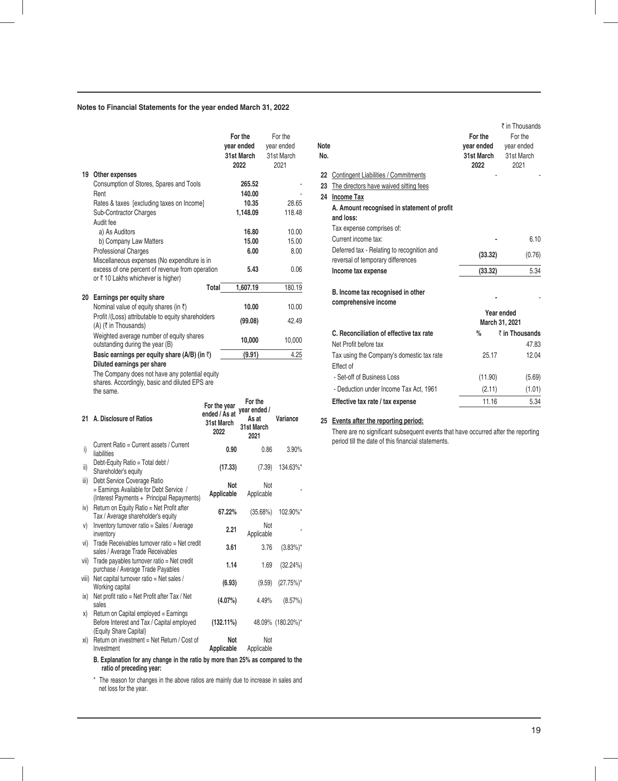|       |                                                                                                                                             |                                                     | For the<br>year ended<br>31st March<br>2022            | For the<br>year ended<br>31st March<br>2021 |
|-------|---------------------------------------------------------------------------------------------------------------------------------------------|-----------------------------------------------------|--------------------------------------------------------|---------------------------------------------|
|       | 19 Other expenses<br>Consumption of Stores, Spares and Tools<br>Rent                                                                        |                                                     | 265.52<br>140.00                                       |                                             |
|       | Rates & taxes [excluding taxes on Income]<br>Sub-Contractor Charges<br>Audit fee                                                            |                                                     | 10.35<br>1,148.09                                      | 28.65<br>118.48                             |
|       | a) As Auditors<br>b) Company Law Matters<br><b>Professional Charges</b>                                                                     |                                                     | 16.80<br>15.00<br>6.00                                 | 10.00<br>15.00<br>8.00                      |
|       | Miscellaneous expenses (No expenditure is in<br>excess of one percent of revenue from operation<br>or ₹10 Lakhs whichever is higher)        |                                                     | 5.43                                                   | 0.06                                        |
|       |                                                                                                                                             | Total                                               | 1,607.19                                               | 180.19                                      |
|       | 20 Earnings per equity share<br>Nominal value of equity shares (in $\bar{z}$ )                                                              |                                                     | 10.00                                                  | 10.00                                       |
|       | Profit /(Loss) attributable to equity shareholders<br>(A) (₹ in Thousands)                                                                  |                                                     | (99.08)                                                | 42.49                                       |
|       | Weighted average number of equity shares<br>outstanding during the year (B)                                                                 |                                                     | 10,000                                                 | 10,000                                      |
|       | Basic earnings per equity share (A/B) (in $\bar{z}$ )                                                                                       |                                                     | (9.91)                                                 | 4.25                                        |
|       | Diluted earnings per share<br>The Company does not have any potential equity<br>shares. Accordingly, basic and diluted EPS are<br>the same. |                                                     |                                                        |                                             |
| 21    | A. Disclosure of Ratios                                                                                                                     | For the year<br>ended / As at<br>31st March<br>2022 | For the<br>year ended /<br>As at<br>31st March<br>2021 | Variance                                    |
| i)    | Current Ratio = Current assets / Current<br>liabilities                                                                                     | 0.90                                                | 0.86                                                   | $3.90\%$                                    |
| ii)   | Debt-Equity Ratio = Total debt /<br>Shareholder's equity                                                                                    | (17.33)                                             | (7.39)                                                 | 134.63%*                                    |
| iii)  | Debt Service Coverage Ratio<br>= Earnings Available for Debt Service /<br>(Interest Payments + Principal Repayments)                        | Not<br>Applicable                                   | Not<br>Applicable                                      |                                             |
| iv)   | Return on Equity Ratio = Net Profit after<br>Tax / Average shareholder's equity                                                             | 67.22%                                              | (35.68%)                                               | 102.90%*                                    |
| V)    | Inventory turnover ratio = Sales / Average<br>inventory                                                                                     | 2.21                                                | Not<br>Applicable                                      |                                             |
| vi)   | Trade Receivables turnover ratio = Net credit<br>sales / Average Trade Receivables                                                          | 3.61                                                | 3.76                                                   | $(3.83\%)^*$                                |
| Vİİ)  | Trade payables turnover ratio = Net credit<br>purchase / Average Trade Payables                                                             | 1.14                                                | 1.69                                                   | (32.24%)                                    |
| viii) | Net capital turnover ratio = Net sales /<br>Working capital                                                                                 | (6.93)                                              | (9.59)                                                 | $(27.75%)^*$                                |
| ix)   | Net profit ratio = Net Profit after Tax / Net<br>sales                                                                                      | (4.07%)                                             | 4.49%                                                  | (8.57%)                                     |
| X)    | Return on Capital employed = Earnings                                                                                                       |                                                     |                                                        |                                             |
|       | Before Interest and Tax / Capital employed<br>(Equity Share Capital)                                                                        | (132.11%)                                           |                                                        | 48.09% (180.20%)*                           |
| Xİ)   | Return on investment = Net Return / Cost of<br>Investment                                                                                   | Not<br>Applicable                                   | Not<br>Applicable                                      |                                             |

\* The reason for changes in the above ratios are mainly due to increase in sales and net loss for the year.

| Note<br>No. |                                                                                 | For the<br>year ended<br>31st March<br>2022 | ₹ in Thousands<br>For the<br>year ended<br>31st March<br>2021 |  |  |
|-------------|---------------------------------------------------------------------------------|---------------------------------------------|---------------------------------------------------------------|--|--|
| 22          | Contingent Liabilities / Commitments                                            |                                             |                                                               |  |  |
| 23          | The directors have waived sitting fees                                          |                                             |                                                               |  |  |
| 24          | Income Tax                                                                      |                                             |                                                               |  |  |
|             | A. Amount recognised in statement of profit<br>and loss:                        |                                             |                                                               |  |  |
|             | Tax expense comprises of:                                                       |                                             |                                                               |  |  |
|             | Current income tax:                                                             |                                             | 6.10                                                          |  |  |
|             | Deferred tax - Relating to recognition and<br>reversal of temporary differences | (33.32)                                     | (0.76)                                                        |  |  |
|             | Income tax expense                                                              | (33.32)                                     | 5.34                                                          |  |  |
|             | B. Income tax recognised in other<br>comprehensive income                       |                                             | Year ended                                                    |  |  |
|             |                                                                                 |                                             | March 31, 2021                                                |  |  |
|             | C. Reconciliation of effective tax rate                                         | $\%$                                        | $\bar{z}$ in Thousands                                        |  |  |
|             | Net Profit before tax                                                           |                                             | 47.83                                                         |  |  |
|             | Tax using the Company's domestic tax rate<br>Fffect of                          | 25.17                                       | 12.04                                                         |  |  |
|             | - Set-off of Business Loss                                                      | (11.90)                                     | (5.69)                                                        |  |  |
|             | - Deduction under Income Tax Act. 1961                                          | (2.11)                                      | (1.01)                                                        |  |  |
|             | Effective tax rate / tax expense                                                | 11.16                                       | 5.34                                                          |  |  |

## **25 Events after the reporting period:**

There are no significant subsequent events that have occurred after the reporting period till the date of this financial statements.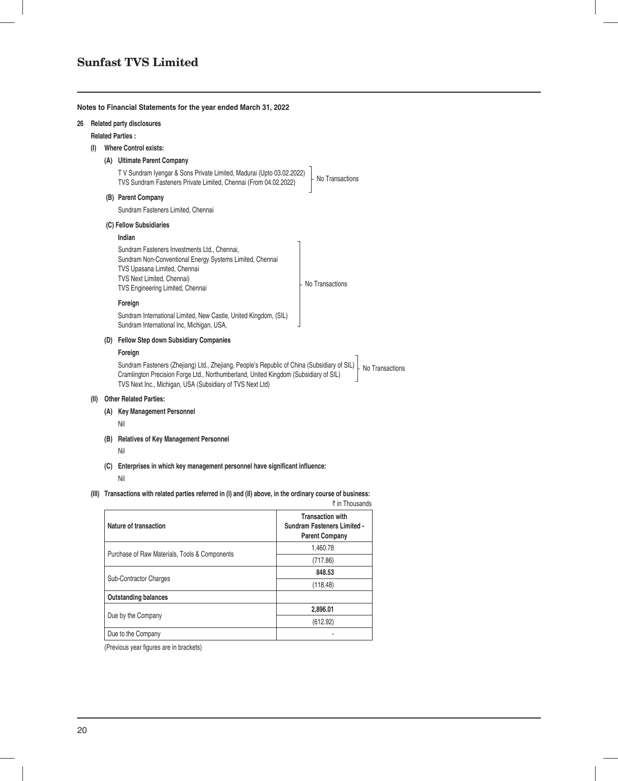|    |                                     |  | Notes to Financial Statements for the year ended March 31, 2022                                                                                                                                                                                                    |  |  |  |  |  |  |
|----|-------------------------------------|--|--------------------------------------------------------------------------------------------------------------------------------------------------------------------------------------------------------------------------------------------------------------------|--|--|--|--|--|--|
| 26 | <b>Related party disclosures</b>    |  |                                                                                                                                                                                                                                                                    |  |  |  |  |  |  |
|    | <b>Related Parties:</b>             |  |                                                                                                                                                                                                                                                                    |  |  |  |  |  |  |
|    | <b>Where Control exists:</b><br>(1) |  |                                                                                                                                                                                                                                                                    |  |  |  |  |  |  |
|    |                                     |  | (A) Ultimate Parent Company<br>TV Sundram Iyengar & Sons Private Limited, Madurai (Upto 03.02.2022)<br>No Transactions<br>TVS Sundram Fasteners Private Limited, Chennai (From 04.02.2022)                                                                         |  |  |  |  |  |  |
|    |                                     |  | (B) Parent Company                                                                                                                                                                                                                                                 |  |  |  |  |  |  |
|    |                                     |  | Sundram Fasteners Limited, Chennai                                                                                                                                                                                                                                 |  |  |  |  |  |  |
|    |                                     |  | (C) Fellow Subsidiaries                                                                                                                                                                                                                                            |  |  |  |  |  |  |
|    |                                     |  | Indian                                                                                                                                                                                                                                                             |  |  |  |  |  |  |
|    |                                     |  | Sundram Fasteners Investments Ltd., Chennai,<br>Sundram Non-Conventional Energy Systems Limited, Chennai<br>TVS Upasana Limited, Chennai<br>TVS Next Limited, Chennai)<br>- No Transactions<br>TVS Engineering Limited, Chennai                                    |  |  |  |  |  |  |
|    |                                     |  | Foreign                                                                                                                                                                                                                                                            |  |  |  |  |  |  |
|    |                                     |  | Sundram International Limited, New Castle, United Kingdom, (SIL)<br>Sundram International Inc, Michigan, USA,                                                                                                                                                      |  |  |  |  |  |  |
|    |                                     |  | (D) Fellow Step down Subsidiary Companies                                                                                                                                                                                                                          |  |  |  |  |  |  |
|    |                                     |  | Foreign                                                                                                                                                                                                                                                            |  |  |  |  |  |  |
|    |                                     |  | Sundram Fasteners (Zhejiang) Ltd., Zhejiang, People's Republic of China (Subsidiary of SIL)   No Transactions<br>Cramlington Precision Forge Ltd., Northumberland, United Kingdom (Subsidiary of SIL)<br>TVS Next Inc., Michigan, USA (Subsidiary of TVS Next Ltd) |  |  |  |  |  |  |
|    | (II)                                |  | <b>Other Related Parties:</b>                                                                                                                                                                                                                                      |  |  |  |  |  |  |
|    |                                     |  | (A) Key Management Personnel                                                                                                                                                                                                                                       |  |  |  |  |  |  |
|    |                                     |  | Nil                                                                                                                                                                                                                                                                |  |  |  |  |  |  |
|    |                                     |  | (B) Relatives of Key Management Personnel<br>Nil                                                                                                                                                                                                                   |  |  |  |  |  |  |
|    |                                     |  | (C) Enterprises in which key management personnel have significant influence:<br>Nil                                                                                                                                                                               |  |  |  |  |  |  |

**(III) Transactions with related parties referred in (I) and (II) above, in the ordinary course of business:**  ₹ in Thousands

| Nature of transaction                         | <b>Transaction with</b><br><b>Sundram Fasteners Limited -</b><br><b>Parent Company</b> |
|-----------------------------------------------|----------------------------------------------------------------------------------------|
|                                               | 1,460.78                                                                               |
| Purchase of Raw Materials, Tools & Components | (717.86)                                                                               |
|                                               | 848.53                                                                                 |
| Sub-Contractor Charges                        | (118.48)                                                                               |
| <b>Outstanding balances</b>                   |                                                                                        |
|                                               | 2,896.01                                                                               |
| Due by the Company                            | (612.92)                                                                               |
| Due to the Company                            |                                                                                        |

(Previous year figures are in brackets)